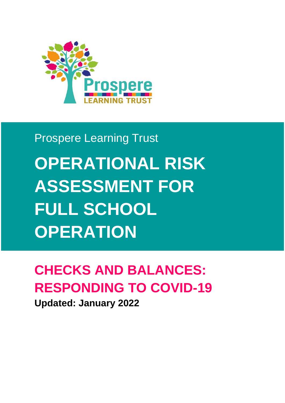

# Prospere Learning Trust

**OPERATIONAL RISK ASSESSMENT FOR FULL SCHOOL OPERATION**

# **CHECKS AND BALANCES: RESPONDING TO COVID-19**

**Updated: January 2022**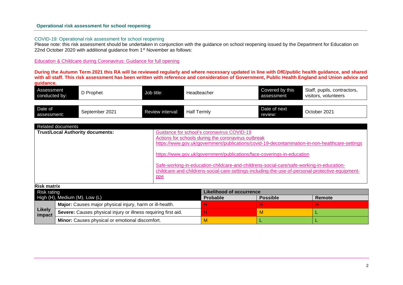#### COVID-19: Operational risk assessment for school reopening

Please note: this risk assessment should be undertaken in conjunction with the guidance on school reopening issued by the Department for Education on 22nd October 2020 with additional guidance from 1<sup>st</sup> November as follows:

#### [Education & Childcare during Coronavirus: Guidance for full opening](https://www.gov.uk/government/publications/actions-for-schools-during-the-coronavirus-outbreak/guidance-for-full-opening-schools)

**During the Autumn Term 2021 this RA will be reviewed regularly and where necessary updated in line with DfE/public health guidance, and shared**  with all staff. This risk assessment has been written with reference and consideration of Government, Public Health England and Union advice and **guidance.** 

| Assessment<br>conducted by: | D Prophet      | Job title:       | Headteacher        | Covered by this<br>assessment | Staff, pupils, contractors,<br>visitors, volunteers |
|-----------------------------|----------------|------------------|--------------------|-------------------------------|-----------------------------------------------------|
|                             |                |                  |                    |                               |                                                     |
| Date of<br>assessment:      | September 2021 | Review interval: | <b>Half Termly</b> | Date of next<br>review:       | October 2021                                        |

| <b>Related documents</b>                |                                                                                                                                                                                                     |
|-----------------------------------------|-----------------------------------------------------------------------------------------------------------------------------------------------------------------------------------------------------|
| <b>Trust/Local Authority documents:</b> | Guidance for school's coronavirus COVID-19<br>Actions for schools during the coronavirus outbreak<br>https://www.gov.uk/government/publications/covid-19-decontamination-in-non-healthcare-settings |
|                                         | https://www.gov.uk/government/publications/face-coverings-in-education                                                                                                                              |
|                                         | Safe-working-in-education-childcare-and-childrens-social-care/safe-working-in-education-<br>childcare-and-childrens-social-care-settings-including-the-use-of-personal-protective-equipment-<br>ppe |

**Risk matrix**

| Risk rating                   |                                                                | Likelihood of occurrence |                 |        |  |
|-------------------------------|----------------------------------------------------------------|--------------------------|-----------------|--------|--|
| High (H), Medium (M), Low (L) |                                                                | Probable                 | <b>Possible</b> | Remote |  |
|                               | Major: Causes major physical injury, harm or ill-health.       |                          |                 |        |  |
| <b>Likely</b><br>impact       | Severe: Causes physical injury or illness requiring first aid. |                          | M               |        |  |
|                               | Minor: Causes physical or emotional discomfort.                | М                        |                 |        |  |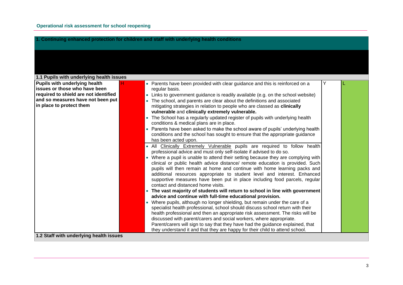| 1. Continuing enhanced protection for children and staff with underlying health conditions |                                                                                                                                                                |  |  |  |  |  |
|--------------------------------------------------------------------------------------------|----------------------------------------------------------------------------------------------------------------------------------------------------------------|--|--|--|--|--|
|                                                                                            |                                                                                                                                                                |  |  |  |  |  |
|                                                                                            |                                                                                                                                                                |  |  |  |  |  |
| 1.1 Pupils with underlying health issues                                                   |                                                                                                                                                                |  |  |  |  |  |
| Pupils with underlying health                                                              | • Parents have been provided with clear guidance and this is reinforced on a                                                                                   |  |  |  |  |  |
| issues or those who have been                                                              | regular basis.                                                                                                                                                 |  |  |  |  |  |
| required to shield are not identified                                                      | • Links to government guidance is readily available (e.g. on the school website)                                                                               |  |  |  |  |  |
| and so measures have not been put                                                          | • The school, and parents are clear about the definitions and associated                                                                                       |  |  |  |  |  |
| in place to protect them                                                                   | mitigating strategies in relation to people who are classed as clinically                                                                                      |  |  |  |  |  |
|                                                                                            | vulnerable and clinically extremely vulnerable.                                                                                                                |  |  |  |  |  |
|                                                                                            | • The School has a regularly updated register of pupils with underlying health                                                                                 |  |  |  |  |  |
|                                                                                            | conditions & medical plans are in place.                                                                                                                       |  |  |  |  |  |
|                                                                                            | • Parents have been asked to make the school aware of pupils' underlying health                                                                                |  |  |  |  |  |
|                                                                                            | conditions and the school has sought to ensure that the appropriate guidance                                                                                   |  |  |  |  |  |
|                                                                                            | has been acted upon.                                                                                                                                           |  |  |  |  |  |
|                                                                                            | . All Clinically Extremely Vulnerable pupils are required to follow health                                                                                     |  |  |  |  |  |
|                                                                                            | professional advice and must only self-isolate if advised to do so.                                                                                            |  |  |  |  |  |
|                                                                                            | • Where a pupil is unable to attend their setting because they are complying with                                                                              |  |  |  |  |  |
|                                                                                            | clinical or public health advice distance/ remote education is provided. Such                                                                                  |  |  |  |  |  |
|                                                                                            | pupils will then remain at home and continue with home learning packs and                                                                                      |  |  |  |  |  |
|                                                                                            | additional resources appropriate to student level and interest. Enhanced                                                                                       |  |  |  |  |  |
|                                                                                            | supportive measures have been put in place including food parcels, regular<br>contact and distanced home visits.                                               |  |  |  |  |  |
|                                                                                            |                                                                                                                                                                |  |  |  |  |  |
|                                                                                            | • The vast majority of students will return to school in line with government<br>advice and continue with full-time educational provision.                     |  |  |  |  |  |
|                                                                                            |                                                                                                                                                                |  |  |  |  |  |
|                                                                                            | • Where pupils, although no longer shielding, but remain under the care of a<br>specialist health professional, school should discuss school return with their |  |  |  |  |  |
|                                                                                            | health professional and then an appropriate risk assessment. The risks will be                                                                                 |  |  |  |  |  |
|                                                                                            | discussed with parent/carers and social workers, where appropriate.                                                                                            |  |  |  |  |  |
|                                                                                            | Parent/carers will sign to say that they have had the guidance explained, that                                                                                 |  |  |  |  |  |
|                                                                                            | they understand it and that they are happy for their child to attend school.                                                                                   |  |  |  |  |  |
| 1.2 Staff with underlying health issues                                                    |                                                                                                                                                                |  |  |  |  |  |
|                                                                                            |                                                                                                                                                                |  |  |  |  |  |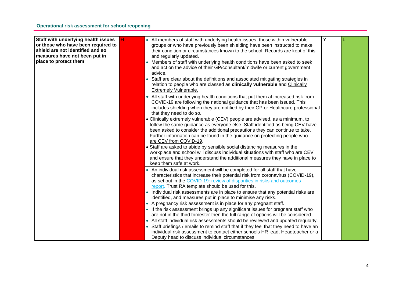| Staff with underlying health issues | • All members of staff with underlying health issues, those within vulnerable          | Y | L |
|-------------------------------------|----------------------------------------------------------------------------------------|---|---|
| or those who have been required to  | groups or who have previously been shielding have been instructed to make              |   |   |
| shield are not identified and so    | their condition or circumstances known to the school. Records are kept of this         |   |   |
| measures have not been put in       | and regularly updated.                                                                 |   |   |
| place to protect them               | • Members of staff with underlying health conditions have been asked to seek           |   |   |
|                                     | and act on the advice of their GP/consultant/midwife or current government             |   |   |
|                                     | advice.                                                                                |   |   |
|                                     |                                                                                        |   |   |
|                                     | • Staff are clear about the definitions and associated mitigating strategies in        |   |   |
|                                     | relation to people who are classed as clinically vulnerable and Clinically             |   |   |
|                                     | Extremely Vulnerable.                                                                  |   |   |
|                                     | • All staff with underlying health conditions that put them at increased risk from     |   |   |
|                                     | COVID-19 are following the national guidance that has been issued. This                |   |   |
|                                     | includes shielding when they are notified by their GP or Healthcare professional       |   |   |
|                                     | that they need to do so.                                                               |   |   |
|                                     | • Clinically extremely vulnerable (CEV) people are advised, as a minimum, to           |   |   |
|                                     | follow the same guidance as everyone else. Staff identified as being CEV have          |   |   |
|                                     | been asked to consider the additional precautions they can continue to take.           |   |   |
|                                     | Further information can be found in the guidance on protecting people who              |   |   |
|                                     | are CEV from COVID-19.                                                                 |   |   |
|                                     | • Staff are asked to abide by sensible social distancing measures in the               |   |   |
|                                     | workplace and school will discuss individual situations with staff who are CEV         |   |   |
|                                     | and ensure that they understand the additional measures they have in place to          |   |   |
|                                     | keep them safe at work.                                                                |   |   |
|                                     | • An individual risk assessment will be completed for all staff that have              |   |   |
|                                     | characteristics that increase their potential risk from coronavirus (COVID-19),        |   |   |
|                                     | as set out in the COVID-19: review of disparities in risks and outcomes                |   |   |
|                                     | report. Trust RA template should be used for this.                                     |   |   |
|                                     | • Individual risk assessments are in place to ensure that any potential risks are      |   |   |
|                                     | identified, and measures put in place to minimise any risks.                           |   |   |
|                                     | • A pregnancy risk assessment is in place for any pregnant staff.                      |   |   |
|                                     |                                                                                        |   |   |
|                                     | • If the risk assessment brings up any significant issues for pregnant staff who       |   |   |
|                                     | are not in the third trimester then the full range of options will be considered.      |   |   |
|                                     | • All staff individual risk assessments should be reviewed and updated regularly.      |   |   |
|                                     | • Staff briefings / emails to remind staff that if they feel that they need to have an |   |   |
|                                     | individual risk assessment to contact either schools HR lead, Headteacher or a         |   |   |
|                                     | Deputy head to discuss individual circumstances.                                       |   |   |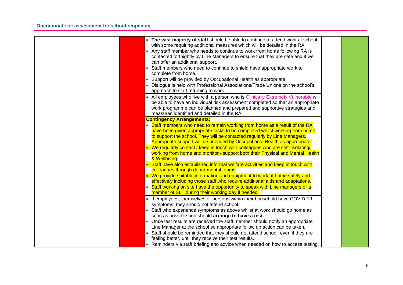| • The vast majority of staff should be able to continue to attend work at school<br>with some requiring additional measures which will be detailed in the RA.<br>• Any staff member who needs to continue to work from home following RA is<br>contacted fortnightly by Line Managers to ensure that they are safe and if we<br>can offer an additional support.<br>• Staff members who need to continue to shield have appropriate work to<br>complete from home.<br>• Support will be provided by Occupational Health as appropriate.<br>• Dialogue is held with Professional Associations/Trade Unions on the school's<br>approach to staff returning to work.<br>• All employees who live with a person who is Clinically Extremely Vulnerable will<br>be able to have an individual risk assessment completed so that an appropriate<br>work programme can be planned and prepared and supportive strategies and<br>measures identified and detailed in the RA. |  |
|----------------------------------------------------------------------------------------------------------------------------------------------------------------------------------------------------------------------------------------------------------------------------------------------------------------------------------------------------------------------------------------------------------------------------------------------------------------------------------------------------------------------------------------------------------------------------------------------------------------------------------------------------------------------------------------------------------------------------------------------------------------------------------------------------------------------------------------------------------------------------------------------------------------------------------------------------------------------|--|
|                                                                                                                                                                                                                                                                                                                                                                                                                                                                                                                                                                                                                                                                                                                                                                                                                                                                                                                                                                      |  |
| <b>Contingency Arrangements:</b>                                                                                                                                                                                                                                                                                                                                                                                                                                                                                                                                                                                                                                                                                                                                                                                                                                                                                                                                     |  |
| • Staff members who need to remain working from home as a result of the RA<br>have been given appropriate tasks to be completed whilst working from home<br>to support the school. They will be contacted regularly by Line Managers.<br>Appropriate support will be provided by Occupational Health as appropriate.<br>• We regularly contact / keep in touch with colleagues who are self- isolating/<br>working from home and monitor / support both their Physical and Mental Health<br>& Wellbeing.<br>• Staff have also established informal welfare activities and keep in touch with                                                                                                                                                                                                                                                                                                                                                                         |  |
| colleagues through departmental teams                                                                                                                                                                                                                                                                                                                                                                                                                                                                                                                                                                                                                                                                                                                                                                                                                                                                                                                                |  |
| • We provide suitable information and equipment to work at home safely and<br>effectively including those staff who require additional aids and adaptations.<br>• Staff working on site have the opportunity to speak with Line managers or a<br>member of SLT during their working day if needed.                                                                                                                                                                                                                                                                                                                                                                                                                                                                                                                                                                                                                                                                   |  |
| • If employees, themselves or persons within their household have COVID-19<br>symptoms, they should not attend school.<br>• Staff who experience symptoms as above whilst at work should go home as<br>soon as possible and should arrange to have a test.<br>• Once test results are received the staff member should notify an appropriate<br>Line Manager at the school so appropriate follow up action can be taken.<br>• Staff should be reminded that they should not attend school, even if they are<br>feeling better, until they receive their test results.<br>• Reminders via staff briefing and advice when needed on how to access testing.                                                                                                                                                                                                                                                                                                             |  |
|                                                                                                                                                                                                                                                                                                                                                                                                                                                                                                                                                                                                                                                                                                                                                                                                                                                                                                                                                                      |  |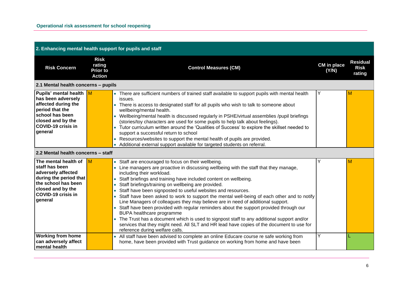| 2. Enhancing mental health support for pupils and staff                                                                                                                    |                                                           |                                                                                                                                                                                                                                                                                                                                                                                                                                                                                                                                                                                                                                                                                                                                                                                                                                                                                                                        |                      |                                          |  |  |
|----------------------------------------------------------------------------------------------------------------------------------------------------------------------------|-----------------------------------------------------------|------------------------------------------------------------------------------------------------------------------------------------------------------------------------------------------------------------------------------------------------------------------------------------------------------------------------------------------------------------------------------------------------------------------------------------------------------------------------------------------------------------------------------------------------------------------------------------------------------------------------------------------------------------------------------------------------------------------------------------------------------------------------------------------------------------------------------------------------------------------------------------------------------------------------|----------------------|------------------------------------------|--|--|
| <b>Risk Concern</b>                                                                                                                                                        | <b>Risk</b><br>rating<br><b>Prior to</b><br><b>Action</b> | <b>Control Measures (CM)</b>                                                                                                                                                                                                                                                                                                                                                                                                                                                                                                                                                                                                                                                                                                                                                                                                                                                                                           | CM in place<br>(Y/N) | <b>Residual</b><br><b>Risk</b><br>rating |  |  |
| 2.1 Mental health concerns - pupils                                                                                                                                        |                                                           |                                                                                                                                                                                                                                                                                                                                                                                                                                                                                                                                                                                                                                                                                                                                                                                                                                                                                                                        |                      |                                          |  |  |
| Pupils' mental health M<br>has been adversely<br>affected during the<br>period that the<br>school has been<br>closed and by the<br><b>COVID-19 crisis in</b><br>general    |                                                           | • There are sufficient numbers of trained staff available to support pupils with mental health<br>issues.<br>• There is access to designated staff for all pupils who wish to talk to someone about<br>wellbeing/mental health.<br>• Wellbeing/mental health is discussed regularly in PSHE/virtual assemblies /pupil briefings<br>(stories/toy characters are used for some pupils to help talk about feelings).<br>• Tutor curriculum written around the 'Qualities of Success' to explore the skillset needed to<br>support a successful return to school<br>• Resources/websites to support the mental health of pupils are provided.<br>• Additional external support available for targeted students on referral.                                                                                                                                                                                                | Y                    | $\mathsf{M}$                             |  |  |
| 2.2 Mental health concerns - staff                                                                                                                                         |                                                           |                                                                                                                                                                                                                                                                                                                                                                                                                                                                                                                                                                                                                                                                                                                                                                                                                                                                                                                        |                      |                                          |  |  |
| The mental health of<br>staff has been<br>adversely affected<br>during the period that<br>the school has been<br>closed and by the<br><b>COVID-19 crisis in</b><br>general | $\mathsf{M}$                                              | • Staff are encouraged to focus on their wellbeing.<br>• Line managers are proactive in discussing wellbeing with the staff that they manage,<br>including their workload.<br>• Staff briefings and training have included content on wellbeing.<br>• Staff briefings/training on wellbeing are provided.<br>• Staff have been signposted to useful websites and resources.<br>• Staff have been asked to work to support the mental well-being of each other and to notify<br>Line Managers of colleagues they may believe are in need of additional support.<br>• Staff have been provided with regular reminders about the support provided through our<br>BUPA healthcare programme<br>• The Trust has a document which is used to signpost staff to any additional support and/or<br>services that they might need. All SLT and HR lead have copies of the document to use for<br>reference during welfare calls. |                      | M                                        |  |  |
| <b>Working from home</b><br>can adversely affect<br>mental health                                                                                                          |                                                           | • All staff have been advised to complete an online Educare course re safe working from<br>home, have been provided with Trust guidance on working from home and have been                                                                                                                                                                                                                                                                                                                                                                                                                                                                                                                                                                                                                                                                                                                                             | Y                    | L                                        |  |  |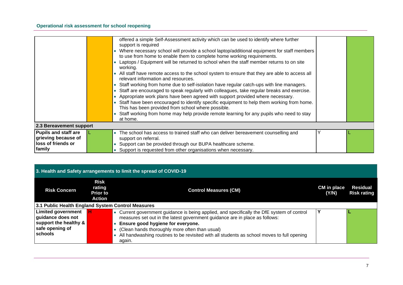|                                                                                    | offered a simple Self-Assessment activity which can be used to identify where further<br>support is required<br>Where necessary school will provide a school laptop/additional equipment for staff members<br>to use from home to enable them to complete home working requirements.<br>Laptops / Equipment will be returned to school when the staff member returns to on site<br>working.<br>All staff have remote access to the school system to ensure that they are able to access all<br>relevant information and resources.<br>Staff working from home due to self-isolation have regular catch-ups with line managers.<br>Staff are encouraged to speak regularly with colleagues, take regular breaks and exercise.<br>Appropriate work plans have been agreed with support provided where necessary.<br>Staff have been encouraged to identify specific equipment to help them working from home.<br>This has been provided from school where possible.<br>Staff working from home may help provide remote learning for any pupils who need to stay<br>at home. |  |
|------------------------------------------------------------------------------------|---------------------------------------------------------------------------------------------------------------------------------------------------------------------------------------------------------------------------------------------------------------------------------------------------------------------------------------------------------------------------------------------------------------------------------------------------------------------------------------------------------------------------------------------------------------------------------------------------------------------------------------------------------------------------------------------------------------------------------------------------------------------------------------------------------------------------------------------------------------------------------------------------------------------------------------------------------------------------------------------------------------------------------------------------------------------------|--|
| 2.3 Bereavement support                                                            |                                                                                                                                                                                                                                                                                                                                                                                                                                                                                                                                                                                                                                                                                                                                                                                                                                                                                                                                                                                                                                                                           |  |
| <b>Pupils and staff are</b><br>grieving because of<br>loss of friends or<br>family | • The school has access to trained staff who can deliver bereavement counselling and<br>support on referral.<br>Support can be provided through our BUPA healthcare scheme.<br>Support is requested from other organisations when necessary.                                                                                                                                                                                                                                                                                                                                                                                                                                                                                                                                                                                                                                                                                                                                                                                                                              |  |

| 3. Health and Safety arrangements to limit the spread of COVID-19                                     |                                                    |                                                                                                                                                                                                                                                                                                                                                                        |                      |                                       |  |  |
|-------------------------------------------------------------------------------------------------------|----------------------------------------------------|------------------------------------------------------------------------------------------------------------------------------------------------------------------------------------------------------------------------------------------------------------------------------------------------------------------------------------------------------------------------|----------------------|---------------------------------------|--|--|
| <b>Risk Concern</b>                                                                                   | <b>Risk</b><br>rating<br><b>Prior to</b><br>Action | <b>Control Measures (CM)</b>                                                                                                                                                                                                                                                                                                                                           | CM in place<br>(Y/N) | <b>Residual</b><br><b>Risk rating</b> |  |  |
| 3.1 Public Health England System Control Measures                                                     |                                                    |                                                                                                                                                                                                                                                                                                                                                                        |                      |                                       |  |  |
| <b>Limited government</b><br>guidance does not<br>support the healthy &<br>safe opening of<br>schools |                                                    | Current government guidance is being applied, and specifically the DfE system of control<br>measures set out in the latest government guidance are in place as follows:<br>Ensure good hygiene for everyone.<br>(Clean hands thoroughly more often than usual)<br>All handwashing routines to be revisited with all students as school moves to full opening<br>again. |                      |                                       |  |  |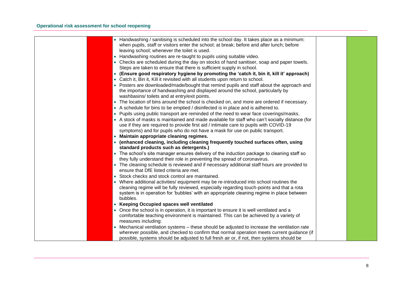| • Handwashing / sanitising is scheduled into the school day. It takes place as a minimum:                                   |  |
|-----------------------------------------------------------------------------------------------------------------------------|--|
| when pupils, staff or visitors enter the school; at break; before and after lunch; before                                   |  |
| leaving school; whenever the toilet is used.                                                                                |  |
| • Handwashing routines are re-taught to pupils using suitable video.                                                        |  |
| • Checks are scheduled during the day on stocks of hand sanitiser, soap and paper towels.                                   |  |
| Steps are taken to ensure that there is sufficient supply in school.                                                        |  |
| • (Ensure good respiratory hygiene by promoting the 'catch it, bin it, kill it' approach)                                   |  |
| • Catch it, Bin it, Kill it revisited with all students upon return to school.                                              |  |
| • Posters are downloaded/made/bought that remind pupils and staff about the approach and                                    |  |
| the importance of handwashing and displayed around the school, particularly by                                              |  |
| washbasins/ toilets and at entry/exit points.                                                                               |  |
| • The location of bins around the school is checked on, and more are ordered if necessary.                                  |  |
| • A schedule for bins to be emptied / disinfected is in place and is adhered to.                                            |  |
| • Pupils using public transport are reminded of the need to wear face coverings/masks.                                      |  |
| • A stock of masks is maintained and made available for staff who can't socially distance (for                              |  |
| use if they are required to provide first aid / intimate care to pupils with COVID-19                                       |  |
| symptoms) and for pupils who do not have a mask for use on public transport.                                                |  |
| • Maintain appropriate cleaning regimes.                                                                                    |  |
| • (enhanced cleaning, including cleaning frequently touched surfaces often, using<br>standard products such as detergents.) |  |
| • The school's site manager ensures delivery of the induction package to cleaning staff so                                  |  |
| they fully understand their role in preventing the spread of coronavirus.                                                   |  |
| • The cleaning schedule is reviewed and if necessary additional staff hours are provided to                                 |  |
| ensure that DfE listed criteria are met.                                                                                    |  |
| • Stock checks and stock control are maintained.                                                                            |  |
| • Where additional activities/ equipment may be re-introduced into school routines the                                      |  |
| cleaning regime will be fully reviewed, especially regarding touch-points and that a rota                                   |  |
| system is in operation for 'bubbles' with an appropriate cleaning regime in place between                                   |  |
| bubbles.                                                                                                                    |  |
| • Keeping Occupied spaces well ventilated                                                                                   |  |
| • Once the school is in operation, it is important to ensure it is well ventilated and a                                    |  |
| comfortable teaching environment is maintained. This can be achieved by a variety of                                        |  |
| measures including:                                                                                                         |  |
| • Mechanical ventilation systems – these should be adjusted to increase the ventilation rate                                |  |
| wherever possible, and checked to confirm that normal operation meets current guidance (if                                  |  |
| possible, systems should be adjusted to full fresh air or, if not, then systems should be                                   |  |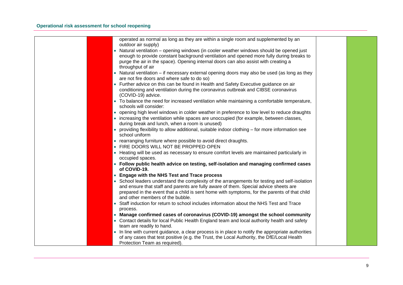| operated as normal as long as they are within a single room and supplemented by an                                                           |  |
|----------------------------------------------------------------------------------------------------------------------------------------------|--|
| outdoor air supply)                                                                                                                          |  |
| • Natural ventilation – opening windows (in cooler weather windows should be opened just                                                     |  |
| enough to provide constant background ventilation and opened more fully during breaks to                                                     |  |
| purge the air in the space). Opening internal doors can also assist with creating a                                                          |  |
| throughput of air                                                                                                                            |  |
| • Natural ventilation – if necessary external opening doors may also be used (as long as they<br>are not fire doors and where safe to do so) |  |
| • Further advice on this can be found in Health and Safety Executive guidance on air                                                         |  |
| conditioning and ventilation during the coronavirus outbreak and CIBSE coronavirus                                                           |  |
| (COVID-19) advice.                                                                                                                           |  |
| • To balance the need for increased ventilation while maintaining a comfortable temperature,                                                 |  |
| schools will consider:                                                                                                                       |  |
| • opening high level windows in colder weather in preference to low level to reduce draughts                                                 |  |
| • increasing the ventilation while spaces are unoccupied (for example, between classes,                                                      |  |
| during break and lunch, when a room is unused)                                                                                               |  |
| • providing flexibility to allow additional, suitable indoor clothing – for more information see                                             |  |
| school uniform                                                                                                                               |  |
| • rearranging furniture where possible to avoid direct draughts.                                                                             |  |
| • FIRE DOORS WILL NOT BE PROPPED OPEN                                                                                                        |  |
| • Heating will be used as necessary to ensure comfort levels are maintained particularly in<br>occupied spaces.                              |  |
| • Follow public health advice on testing, self-isolation and managing confirmed cases                                                        |  |
| of COVID-19.                                                                                                                                 |  |
| • Engage with the NHS Test and Trace process                                                                                                 |  |
| • School leaders understand the complexity of the arrangements for testing and self-isolation                                                |  |
| and ensure that staff and parents are fully aware of them. Special advice sheets are                                                         |  |
| prepared in the event that a child is sent home with symptoms, for the parents of that child                                                 |  |
| and other members of the bubble.                                                                                                             |  |
| Staff induction for return to school includes information about the NHS Test and Trace                                                       |  |
| process.                                                                                                                                     |  |
| • Manage confirmed cases of coronavirus (COVID-19) amongst the school community                                                              |  |
| • Contact details for local Public Health England team and local authority health and safety                                                 |  |
| team are readily to hand.                                                                                                                    |  |
| • In line with current guidance, a clear process is in place to notify the appropriate authorities                                           |  |
| of any cases that test positive (e.g. the Trust, the Local Authority, the DfE/Local Health                                                   |  |
| Protection Team as required).                                                                                                                |  |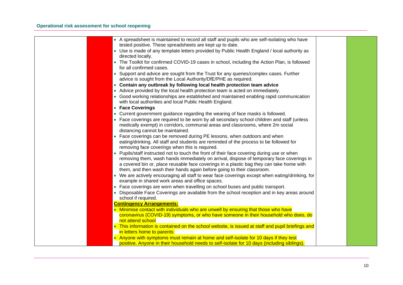| • A spreadsheet is maintained to record all staff and pupils who are self-isolating who have                                                                                                                                                                                                                                                                 |  |
|--------------------------------------------------------------------------------------------------------------------------------------------------------------------------------------------------------------------------------------------------------------------------------------------------------------------------------------------------------------|--|
| tested positive. These spreadsheets are kept up to date.                                                                                                                                                                                                                                                                                                     |  |
| • Use is made of any template letters provided by Public Health England / local authority as<br>directed locally.                                                                                                                                                                                                                                            |  |
| • The Toolkit for confirmed COVID-19 cases in school, including the Action Plan, is followed<br>for all confirmed cases.                                                                                                                                                                                                                                     |  |
| • Support and advice are sought from the Trust for any queries/complex cases. Further<br>advice is sought from the Local Authority/DfE/PHE as required.                                                                                                                                                                                                      |  |
| • Contain any outbreak by following local health protection team advice                                                                                                                                                                                                                                                                                      |  |
| • Advice provided by the local health protection team is acted on immediately.                                                                                                                                                                                                                                                                               |  |
| • Good working relationships are established and maintained enabling rapid communication                                                                                                                                                                                                                                                                     |  |
| with local authorities and local Public Health England.                                                                                                                                                                                                                                                                                                      |  |
| • Face Coverings                                                                                                                                                                                                                                                                                                                                             |  |
| • Current government guidance regarding the wearing of face masks is followed.                                                                                                                                                                                                                                                                               |  |
| • Face coverings are required to be worn by all secondary school children and staff (unless<br>medically exempt) in corridors, communal areas and classrooms, where 2m social<br>distancing cannot be maintained.                                                                                                                                            |  |
| • Face coverings can be removed during PE lessons, when outdoors and when<br>eating/drinking. All staff and students are reminded of the process to be followed for<br>removing face coverings when this is required.                                                                                                                                        |  |
| • Pupils/staff instructed not to touch the front of their face covering during use or when<br>removing them, wash hands immediately on arrival, dispose of temporary face coverings in<br>a covered bin or, place reusable face coverings in a plastic bag they can take home with<br>them, and then wash their hands again before going to their classroom. |  |
| • We are actively encouraging all staff to wear face coverings except when eating/drinking, for<br>example in shared work areas and office spaces.                                                                                                                                                                                                           |  |
| • Face coverings are worn when travelling on school buses and public transport.                                                                                                                                                                                                                                                                              |  |
| • Disposable Face Coverings are available from the school reception and in key areas around<br>school if required.                                                                                                                                                                                                                                           |  |
| <b>Contingency Arrangements:</b>                                                                                                                                                                                                                                                                                                                             |  |
| • Minimise contact with individuals who are unwell by ensuring that those who have<br>coronavirus (COVID-19) symptoms, or who have someone in their household who does, do<br>not attend school                                                                                                                                                              |  |
| This information is contained on the school website, is issued at staff and pupil briefings and<br>in letters home to parents:                                                                                                                                                                                                                               |  |
| • Anyone with symptoms must remain at home and self-isolate for 10 days if they test<br>positive. Anyone in their household needs to self-isolate for 10 days (including siblings).                                                                                                                                                                          |  |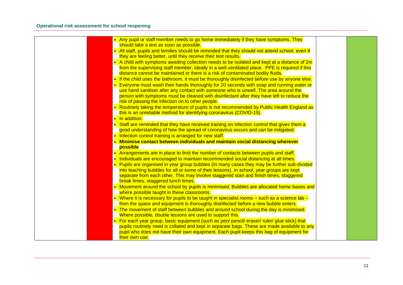| • Any pupil or staff member needs to go home immediately if they have symptoms. They            |
|-------------------------------------------------------------------------------------------------|
| should take a test as soon as possible.                                                         |
| • All staff, pupils and families should be reminded that they should not attend school, even if |
| they are feeling better, until they receive their test results.                                 |
| • A child with symptoms awaiting collection needs to be isolated and kept at a distance of $2m$ |
| from the supervising staff member, ideally in a well-ventilated place. PPE is required if this  |
| distance cannot be maintained or there is a risk of contaminated bodily fluids.                 |
| • If the child uses the bathroom, it must be thoroughly disinfected before use by anyone else.  |
| • Everyone must wash their hands thoroughly for 20 seconds with soap and running water or       |
| use hand sanitiser after any contact with someone who is unwell. The area around the            |
| person with symptoms must be cleaned with disinfectant after they have left to reduce the       |
| risk of passing the infection on to other people.                                               |
| • Routinely taking the temperature of pupils is not recommended by Public Health England as     |
| this is an unreliable method for identifying coronavirus (COVID-19).                            |
| • In addition:                                                                                  |
| • Staff are reminded that they have received training on infection control that gives them a    |
| good understanding of how the spread of coronavirus occurs and can be mitigated.                |
| • Infection control training is arranged for new staff.                                         |
| <b>• Minimise contact between individuals and maintain social distancing wherever</b>           |
| possible                                                                                        |
| • Arrangements are in place to limit the number of contacts between pupils and staff.           |
| • Individuals are encouraged to maintain recommended social distancing at all times.            |
| • Pupils are organised in year group bubbles (In many cases they may be further sub-divided     |
| into teaching bubbles for all or some of their lessons). In school, year groups are kept        |
| separate from each other. This may involve staggered start and finish times, staggered          |
| break times, staggered lunch times.                                                             |
| • Movement around the school by pupils is minimised. Bubbles are allocated home-bases and       |
| where possible taught in these classrooms.                                                      |
| • Where it is necessary for pupils to be taught in specialist rooms - such as a science lab -   |
| then the space and equipment is thoroughly disinfected before a new bubble enters.              |
| • The movement of staff between bubbles and around school during the day is minimised.          |
| Where possible, double lessons are used to support this.                                        |
| • For each year group, basic equipment (such as pen/ pencil/ eraser/ ruler/ glue stick) that    |
| pupils routinely need is collated and kept in separate bags. These are made available to any    |
| pupil who does not have their own equipment. Each pupil keeps this bag of equipment for         |
| their own use.                                                                                  |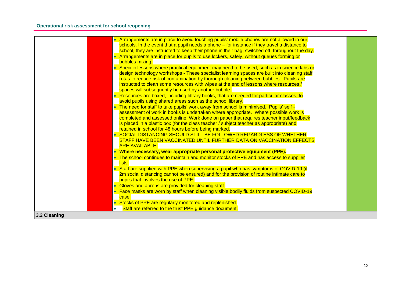| Arrangements are in place to avoid touching pupils' mobile phones are not allowed in our                                                     |  |
|----------------------------------------------------------------------------------------------------------------------------------------------|--|
| schools. In the event that a pupil needs a phone – for instance if they travel a distance to                                                 |  |
| school, they are instructed to keep their phone in their bag, switched off, throughout the day.                                              |  |
| Arrangements are in place for pupils to use lockers, safely, without queues forming or<br>bubbles mixing.                                    |  |
| Specific lessons where practical equipment may need to be used, such as in science labs or                                                   |  |
| design technology workshops - These specialist learning spaces are built into cleaning staff                                                 |  |
| rotas to reduce risk of contamination by thorough cleaning between bubbles. Pupils are                                                       |  |
| instructed to clean some resources with wipes at the end of lessons where resources /<br>spaces will subsequently be used by another bubble. |  |
| Resources are boxed, including library books, that are needed for particular classes, to                                                     |  |
| avoid pupils using shared areas such as the school library.                                                                                  |  |
| The need for staff to take pupils' work away from school is minimised. Pupils' self -                                                        |  |
| assessment of work in books is undertaken where appropriate. Where possible work is                                                          |  |
| completed and assessed online. Work done on paper that requires teacher input/feedback                                                       |  |
| is placed in a plastic box (for the class teacher / subject teacher as appropriate) and                                                      |  |
| retained in school for 48 hours before being marked.                                                                                         |  |
| SOCIAL DISTANCING SHOULD STILL BE FOLLOWED REGARDLESS OF WHETHER<br>STAFF HAVE BEEN VACCINATED UNTIL FURTHER DATA ON VACCINATION EFFECTS     |  |
| <b>ARE AVAILABLE.</b>                                                                                                                        |  |
| Where necessary, wear appropriate personal protective equipment (PPE).                                                                       |  |
| The school continues to maintain and monitor stocks of PPE and has access to supplier                                                        |  |
| lists.                                                                                                                                       |  |
| • Staff are supplied with PPE when supervising a pupil who has symptoms of COVID-19 (if                                                      |  |
| 2m social distancing cannot be ensured) and for the provision of routine intimate care to                                                    |  |
| pupils that involves the use of PPE.                                                                                                         |  |
| • Gloves and aprons are provided for cleaning staff.                                                                                         |  |
| • Face masks are worn by staff when cleaning visible bodily fluids from suspected COVID-19<br>case.                                          |  |
| • Stocks of PPE are regularly monitored and replenished.                                                                                     |  |
| Staff are referred to the trust PPE guidance document.                                                                                       |  |
| 3.2 Cleaning                                                                                                                                 |  |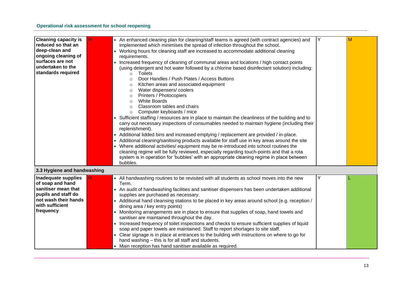| <b>Cleaning capacity is</b><br>reduced so that an<br>deep-clean and<br>ongoing cleaning of<br>surfaces are not<br>undertaken to the<br>standards required | н  | • An enhanced cleaning plan for cleaning/staff teams is agreed (with contract agencies) and<br>implemented which minimises the spread of infection throughout the school.<br>• Working hours for cleaning staff are increased to accommodate additional cleaning<br>requirements.<br>• Increased frequency of cleaning of communal areas and locations / high contact points<br>(using detergent and hot water followed by a chlorine based disinfectant solution) including:<br><b>Toilets</b><br>$\circ$<br>Door Handles / Push Plates / Access Buttons<br>$\circ$<br>Kitchen areas and associated equipment<br>$\circ$<br>Water dispensers/coolers<br>$\circ$<br>Printers / Photocopiers<br>$\circ$<br><b>White Boards</b><br>$\circ$<br>Classroom tables and chairs<br>$\circ$<br>Computer keyboards / mice<br>$\circ$<br>Sufficient staffing / resources are in place to maintain the cleanliness of the building and to<br>carry out necessary inspections of consumables needed to maintain hygiene (including their<br>replenishment).<br>Additional lidded bins and increased emptying / replacement are provided / in-place.<br>Additional cleaning/sanitising products available for staff use in key areas around the site<br>Where additional activities/ equipment may be re-introduced into school routines the<br>cleaning regime will be fully reviewed, especially regarding touch-points and that a rota<br>system is in operation for 'bubbles' with an appropriate cleaning regime in place between<br>bubbles. | Y | M |
|-----------------------------------------------------------------------------------------------------------------------------------------------------------|----|--------------------------------------------------------------------------------------------------------------------------------------------------------------------------------------------------------------------------------------------------------------------------------------------------------------------------------------------------------------------------------------------------------------------------------------------------------------------------------------------------------------------------------------------------------------------------------------------------------------------------------------------------------------------------------------------------------------------------------------------------------------------------------------------------------------------------------------------------------------------------------------------------------------------------------------------------------------------------------------------------------------------------------------------------------------------------------------------------------------------------------------------------------------------------------------------------------------------------------------------------------------------------------------------------------------------------------------------------------------------------------------------------------------------------------------------------------------------------------------------------------------------------------------|---|---|
| 3.3 Hygiene and handwashing                                                                                                                               |    |                                                                                                                                                                                                                                                                                                                                                                                                                                                                                                                                                                                                                                                                                                                                                                                                                                                                                                                                                                                                                                                                                                                                                                                                                                                                                                                                                                                                                                                                                                                                      |   |   |
| Inadequate supplies<br>of soap and hand<br>sanitiser mean that<br>pupils and staff do<br>not wash their hands<br>with sufficient<br>frequency             | н. | • All handwashing routines to be revisited with all students as school moves into the new<br>Term.<br>• An audit of handwashing facilities and sanitiser dispensers has been undertaken additional<br>supplies are purchased as necessary.<br>• Additional hand cleansing stations to be placed in key areas around school (e.g. reception /<br>dining area / key entry points)<br>Monitoring arrangements are in place to ensure that supplies of soap, hand towels and<br>sanitiser are maintained throughout the day.<br>Increased frequency of toilet inspections and checks to ensure sufficient supplies of liquid<br>soap and paper towels are maintained. Staff to report shortages to site staff.<br>• Clear signage is in place at entrances to the building with instructions on where to go for<br>hand washing - this is for all staff and students.<br>• Main reception has hand sanitiser available as required.                                                                                                                                                                                                                                                                                                                                                                                                                                                                                                                                                                                                      | Υ |   |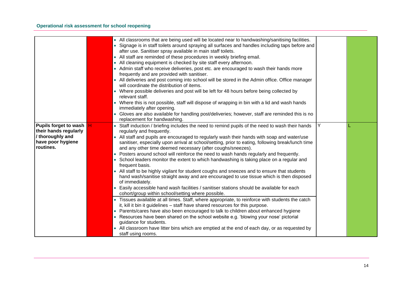|                       | • All classrooms that are being used will be located near to handwashing/sanitising facilities.<br>• Signage is in staff toilets around spraying all surfaces and handles including taps before and<br>after use. Sanitiser spray available in main staff toilets.<br>• All staff are reminded of these procedures in weekly briefing email.<br>• All cleaning equipment is checked by site staff every afternoon.<br>• Admin staff who receive deliveries, post etc. are encouraged to wash their hands more<br>frequently and are provided with sanitiser.<br>• All deliveries and post coming into school will be stored in the Admin office. Office manager<br>will coordinate the distribution of items.<br>• Where possible deliveries and post will be left for 48 hours before being collected by<br>relevant staff.<br>• Where this is not possible, staff will dispose of wrapping in bin with a lid and wash hands<br>immediately after opening.<br>• Gloves are also available for handling post/deliveries; however, staff are reminded this is no |   |  |
|-----------------------|-----------------------------------------------------------------------------------------------------------------------------------------------------------------------------------------------------------------------------------------------------------------------------------------------------------------------------------------------------------------------------------------------------------------------------------------------------------------------------------------------------------------------------------------------------------------------------------------------------------------------------------------------------------------------------------------------------------------------------------------------------------------------------------------------------------------------------------------------------------------------------------------------------------------------------------------------------------------------------------------------------------------------------------------------------------------|---|--|
|                       | replacement for handwashing.                                                                                                                                                                                                                                                                                                                                                                                                                                                                                                                                                                                                                                                                                                                                                                                                                                                                                                                                                                                                                                    |   |  |
| Pupils forget to wash | • Staff induction / briefing includes the need to remind pupils of the need to wash their hands                                                                                                                                                                                                                                                                                                                                                                                                                                                                                                                                                                                                                                                                                                                                                                                                                                                                                                                                                                 | Υ |  |
| their hands regularly | regularly and frequently.                                                                                                                                                                                                                                                                                                                                                                                                                                                                                                                                                                                                                                                                                                                                                                                                                                                                                                                                                                                                                                       |   |  |
| / thoroughly and      | • All staff and pupils are encouraged to regularly wash their hands with soap and water/use                                                                                                                                                                                                                                                                                                                                                                                                                                                                                                                                                                                                                                                                                                                                                                                                                                                                                                                                                                     |   |  |
| have poor hygiene     | sanitiser, especially upon arrival at school/setting, prior to eating, following break/lunch time                                                                                                                                                                                                                                                                                                                                                                                                                                                                                                                                                                                                                                                                                                                                                                                                                                                                                                                                                               |   |  |
| routines.             | and any other time deemed necessary (after coughs/sneezes).                                                                                                                                                                                                                                                                                                                                                                                                                                                                                                                                                                                                                                                                                                                                                                                                                                                                                                                                                                                                     |   |  |
|                       | Posters around school will reinforce the need to wash hands regularly and frequently.                                                                                                                                                                                                                                                                                                                                                                                                                                                                                                                                                                                                                                                                                                                                                                                                                                                                                                                                                                           |   |  |
|                       | • School leaders monitor the extent to which handwashing is taking place on a regular and<br>frequent basis.                                                                                                                                                                                                                                                                                                                                                                                                                                                                                                                                                                                                                                                                                                                                                                                                                                                                                                                                                    |   |  |
|                       | • All staff to be highly vigilant for student coughs and sneezes and to ensure that students<br>hand wash/sanitise straight away and are encouraged to use tissue which is then disposed<br>of immediately.                                                                                                                                                                                                                                                                                                                                                                                                                                                                                                                                                                                                                                                                                                                                                                                                                                                     |   |  |
|                       | • Easily accessible hand wash facilities / sanitiser stations should be available for each<br>cohort/group within school/setting where possible.                                                                                                                                                                                                                                                                                                                                                                                                                                                                                                                                                                                                                                                                                                                                                                                                                                                                                                                |   |  |
|                       | • Tissues available at all times. Staff, where appropriate, to reinforce with students the catch                                                                                                                                                                                                                                                                                                                                                                                                                                                                                                                                                                                                                                                                                                                                                                                                                                                                                                                                                                |   |  |
|                       | it, kill it bin it guidelines - staff have shared resources for this purpose.                                                                                                                                                                                                                                                                                                                                                                                                                                                                                                                                                                                                                                                                                                                                                                                                                                                                                                                                                                                   |   |  |
|                       | • Parents/cares have also been encouraged to talk to children about enhanced hygiene                                                                                                                                                                                                                                                                                                                                                                                                                                                                                                                                                                                                                                                                                                                                                                                                                                                                                                                                                                            |   |  |
|                       | • Resources have been shared on the school website e.g. 'blowing your nose' pictorial                                                                                                                                                                                                                                                                                                                                                                                                                                                                                                                                                                                                                                                                                                                                                                                                                                                                                                                                                                           |   |  |
|                       | guidance for students.                                                                                                                                                                                                                                                                                                                                                                                                                                                                                                                                                                                                                                                                                                                                                                                                                                                                                                                                                                                                                                          |   |  |
|                       | • All classroom have litter bins which are emptied at the end of each day, or as requested by                                                                                                                                                                                                                                                                                                                                                                                                                                                                                                                                                                                                                                                                                                                                                                                                                                                                                                                                                                   |   |  |
|                       | staff using rooms.                                                                                                                                                                                                                                                                                                                                                                                                                                                                                                                                                                                                                                                                                                                                                                                                                                                                                                                                                                                                                                              |   |  |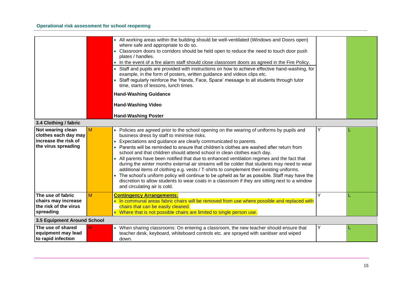|                                                                                          |   | • All working areas within the building should be well-ventilated (Windows and Doors open)<br>where safe and appropriate to do so.<br>• Classroom doors to corridors should be held open to reduce the need to touch door push<br>plates / handles.<br>• In the event of a fire alarm staff should close classroom doors as agreed in the Fire Policy.<br>• Staff and pupils are provided with instructions on how to achieve effective hand-washing, for<br>example, in the form of posters, written guidance and videos clips etc.<br>• Staff regularly reinforce the 'Hands, Face, Space' message to all students through tutor<br>time, starts of lessons, lunch times.<br><b>Hand-Washing Guidance</b><br><b>Hand-Washing Video</b><br><b>Hand-Washing Poster</b>                                                                                                                                                |   |  |
|------------------------------------------------------------------------------------------|---|-----------------------------------------------------------------------------------------------------------------------------------------------------------------------------------------------------------------------------------------------------------------------------------------------------------------------------------------------------------------------------------------------------------------------------------------------------------------------------------------------------------------------------------------------------------------------------------------------------------------------------------------------------------------------------------------------------------------------------------------------------------------------------------------------------------------------------------------------------------------------------------------------------------------------|---|--|
| 3.4 Clothing / fabric                                                                    |   |                                                                                                                                                                                                                                                                                                                                                                                                                                                                                                                                                                                                                                                                                                                                                                                                                                                                                                                       |   |  |
| Not wearing clean<br>clothes each day may<br>increase the risk of<br>the virus spreading | M | • Policies are agreed prior to the school opening on the wearing of uniforms by pupils and<br>business dress by staff to minimise risks.<br>• Expectations and guidance are clearly communicated to parents.<br>• Parents will be reminded to ensure that children's clothes are washed after return from<br>school and that children should attend school in clean clothes each day.<br>• All parents have been notified that due to enhanced ventilation regimes and the fact that<br>during the winter months external air streams will be colder that students may need to wear<br>additional items of clothing e.g. vests / T-shirts to complement their existing uniforms.<br>• The school's uniform policy will continue to be upheld as far as possible. Staff may have the<br>discretion to allow students to wear coats in a classroom if they are sitting next to a window<br>and circulating air is cold. | Υ |  |
| The use of fabric<br>chairs may increase<br>the risk of the virus<br>spreading           | M | <b>Contingency Arrangements:</b><br>. In communal areas fabric chairs will be removed from use where possible and replaced with<br>chairs that can be easily cleaned.<br>• Where that is not possible chairs are limited to single person use.                                                                                                                                                                                                                                                                                                                                                                                                                                                                                                                                                                                                                                                                        | Y |  |
|                                                                                          |   |                                                                                                                                                                                                                                                                                                                                                                                                                                                                                                                                                                                                                                                                                                                                                                                                                                                                                                                       |   |  |
| 3.5 Equipment Around School                                                              |   |                                                                                                                                                                                                                                                                                                                                                                                                                                                                                                                                                                                                                                                                                                                                                                                                                                                                                                                       |   |  |
| The use of shared<br>equipment may lead<br>to rapid infection                            |   | • When sharing classrooms: On entering a classroom, the new teacher should ensure that<br>teacher desk, keyboard, whiteboard controls etc. are sprayed with sanitiser and wiped<br>down.                                                                                                                                                                                                                                                                                                                                                                                                                                                                                                                                                                                                                                                                                                                              | Υ |  |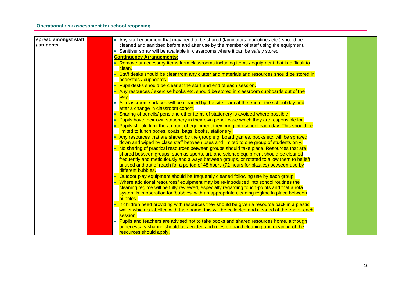| spread amongst staff<br>/ students | • Any staff equipment that may need to be shared (laminators, guillotines etc.) should be<br>cleaned and sanitised before and after use by the member of staff using the equipment. |
|------------------------------------|-------------------------------------------------------------------------------------------------------------------------------------------------------------------------------------|
|                                    | • Sanitiser spray will be available in classrooms where it can be safely stored.                                                                                                    |
|                                    | <b>Contingency Arrangements:</b>                                                                                                                                                    |
|                                    | • Remove unnecessary items from classrooms including items / equipment that is difficult to                                                                                         |
|                                    | clean.                                                                                                                                                                              |
|                                    | • Staff desks should be clear from any clutter and materials and resources should be stored in<br>pedestals / cupboards.                                                            |
|                                    | • Pupil desks should be clear at the start and end of each session.                                                                                                                 |
|                                    | • Any resources / exercise books etc. should be stored in classroom cupboards out of the                                                                                            |
|                                    | way.                                                                                                                                                                                |
|                                    | All classroom surfaces will be cleaned by the site team at the end of the school day and<br>after a change in classroom cohort.                                                     |
|                                    | Sharing of pencils/ pens and other items of stationery is avoided where possible.                                                                                                   |
|                                    | • Pupils have their own stationery in their own pencil case which they are responsible for.                                                                                         |
|                                    | • Pupils should limit the amount of equipment they bring into school each day. This should be                                                                                       |
|                                    | limited to lunch boxes, coats, bags, books, stationery.                                                                                                                             |
|                                    | Any resources that are shared by the group e.g. board games, books etc. will be sprayed                                                                                             |
|                                    | down and wiped by class staff between uses and limited to one group of students only.                                                                                               |
|                                    | No sharing of practical resources between groups should take place. Resources that are                                                                                              |
|                                    | shared between groups, such as sports, art, and science equipment should be cleaned                                                                                                 |
|                                    | frequently and meticulously and always between groups, or rotated to allow them to be left                                                                                          |
|                                    | unused and out of reach for a period of 48 hours (72 hours for plastics) between use by                                                                                             |
|                                    | different bubbles.                                                                                                                                                                  |
|                                    | Outdoor play equipment should be frequently cleaned following use by each group.                                                                                                    |
|                                    | • Where additional resources/ equipment may be re-introduced into school routines the                                                                                               |
|                                    | cleaning regime will be fully reviewed, especially regarding touch-points and that a rota                                                                                           |
|                                    | system is in operation for 'bubbles' with an appropriate cleaning regime in place between                                                                                           |
|                                    | bubbles.                                                                                                                                                                            |
|                                    | If children need providing with resources they should be given a resource pack in a plastic                                                                                         |
|                                    | wallet which is labelled with their name, this will be collected and cleaned at the end of each                                                                                     |
|                                    | session.                                                                                                                                                                            |
|                                    | • Pupils and teachers are advised not to take books and shared resources home, although                                                                                             |
|                                    | unnecessary sharing should be avoided and rules on hand cleaning and cleaning of the                                                                                                |
|                                    | resources should apply.                                                                                                                                                             |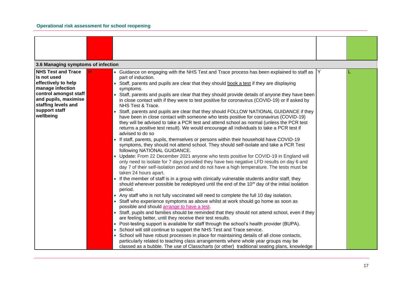| 3.6 Managing symptoms of infection                                                                                                                                                        |                                                                                                                                                                                                                                                                                                                                                                                                                                                                                                                                                                                                                                                                                                                                                                                                                                                                                                                                                                                                                                                                                                                                                                                                                                                                                                                                                                                                                                                                                                                                                                                                                                                                                                                                                                                                                                                                                                                                                                                                                                                                                                                                                                                                                                                                                 |   |  |
|-------------------------------------------------------------------------------------------------------------------------------------------------------------------------------------------|---------------------------------------------------------------------------------------------------------------------------------------------------------------------------------------------------------------------------------------------------------------------------------------------------------------------------------------------------------------------------------------------------------------------------------------------------------------------------------------------------------------------------------------------------------------------------------------------------------------------------------------------------------------------------------------------------------------------------------------------------------------------------------------------------------------------------------------------------------------------------------------------------------------------------------------------------------------------------------------------------------------------------------------------------------------------------------------------------------------------------------------------------------------------------------------------------------------------------------------------------------------------------------------------------------------------------------------------------------------------------------------------------------------------------------------------------------------------------------------------------------------------------------------------------------------------------------------------------------------------------------------------------------------------------------------------------------------------------------------------------------------------------------------------------------------------------------------------------------------------------------------------------------------------------------------------------------------------------------------------------------------------------------------------------------------------------------------------------------------------------------------------------------------------------------------------------------------------------------------------------------------------------------|---|--|
| <b>NHS Test and Trace</b><br>is not used<br>effectively to help<br>manage infection<br>control amongst staff<br>and pupils, maximise<br>staffing levels and<br>support staff<br>wellbeing | • Guidance on engaging with the NHS Test and Trace process has been explained to staff as<br>part of induction.<br>Staff, parents and pupils are clear that they should book a test if they are displaying<br>symptoms.<br>Staff, parents and pupils are clear that they should provide details of anyone they have been<br>in close contact with if they were to test positive for coronavirus (COVID-19) or if asked by<br>NHS Test & Trace.<br>Staff, parents and pupils are clear that they should FOLLOW NATIONAL GUIDANCE if they<br>have been in close contact with someone who tests positive for coronavirus (COVID-19)<br>they will be advised to take a PCR test and attend school as normal (unless the PCR test<br>returns a positive test result). We would encourage all individuals to take a PCR test if<br>advised to do so<br>. If staff, parents, pupils, themselves or persons within their household have COVID-19<br>symptoms, they should not attend school. They should self-isolate and take a PCR Test<br>following NATIONAL GUIDANCE.<br>• Update: From 22 December 2021 anyone who tests positive for COVID-19 in England will<br>only need to isolate for 7 days provided they have two negative LFD results on day 6 and<br>day 7 of their self-isolation period and do not have a high temperature. The tests must be<br>taken 24 hours apart.<br>If the member of staff is in a group with clinically vulnerable students and/or staff, they<br>should wherever possible be redeployed until the end of the 10 <sup>th</sup> day of the initial isolation<br>period.<br>• Any staff who is not fully vaccinated will need to complete the full 10 day isolation.<br>• Staff who experience symptoms as above whilst at work should go home as soon as<br>possible and should arrange to have a test.<br>• Staff, pupils and families should be reminded that they should not attend school, even if they<br>are feeling better, until they receive their test results.<br>• Post-testing support is available for staff through the school's health provider (BUPA).<br>• School will still continue to support the NHS Test and Trace service.<br>• School will have robust processes in place for maintaining details of all close contacts, | Y |  |
|                                                                                                                                                                                           | particularly related to teaching class arrangements where whole year groups may be<br>classed as a bubble. The use of Classcharts (or other) traditional seating plans, knowledge                                                                                                                                                                                                                                                                                                                                                                                                                                                                                                                                                                                                                                                                                                                                                                                                                                                                                                                                                                                                                                                                                                                                                                                                                                                                                                                                                                                                                                                                                                                                                                                                                                                                                                                                                                                                                                                                                                                                                                                                                                                                                               |   |  |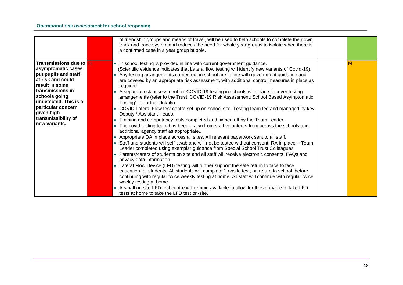|                                                                                                                                                                                                                                                              | of friendship groups and means of travel, will be used to help schools to complete their own<br>track and trace system and reduces the need for whole year groups to isolate when there is<br>a confirmed case in a year group bubble.                                                                                                                                                                                                                                                                                                                                                                                                                                                                                                                                                                                                                                                                                                                                                                                                                                                                                                                                                                                                                                                                                                                                                                                                                                                                                                                                                                                                                                                                                                                                                                                                      |   |
|--------------------------------------------------------------------------------------------------------------------------------------------------------------------------------------------------------------------------------------------------------------|---------------------------------------------------------------------------------------------------------------------------------------------------------------------------------------------------------------------------------------------------------------------------------------------------------------------------------------------------------------------------------------------------------------------------------------------------------------------------------------------------------------------------------------------------------------------------------------------------------------------------------------------------------------------------------------------------------------------------------------------------------------------------------------------------------------------------------------------------------------------------------------------------------------------------------------------------------------------------------------------------------------------------------------------------------------------------------------------------------------------------------------------------------------------------------------------------------------------------------------------------------------------------------------------------------------------------------------------------------------------------------------------------------------------------------------------------------------------------------------------------------------------------------------------------------------------------------------------------------------------------------------------------------------------------------------------------------------------------------------------------------------------------------------------------------------------------------------------|---|
| <b>Transmissions due to H</b><br>asymptomatic cases<br>put pupils and staff<br>at risk and could<br>result in some<br>transmissions in<br>schools going<br>undetected. This is a<br>particular concern<br>given high<br>transmissibility of<br>new variants. | • In school testing is provided in line with current government guidance.<br>(Scientific evidence indicates that Lateral flow testing will identify new variants of Covid-19).<br>Any testing arrangements carried out in school are in line with government guidance and<br>are covered by an appropriate risk assessment, with additional control measures in place as<br>required.<br>A separate risk assessment for COVID-19 testing in schools is in place to cover testing<br>arrangements (refer to the Trust 'COVID-19 Risk Assessment: School Based Asymptomatic<br>Testing' for further details).<br>COVID Lateral Flow test centre set up on school site. Testing team led and managed by key<br>Deputy / Assistant Heads.<br>• Training and competency tests completed and signed off by the Team Leader.<br>• The covid testing team has been drawn from staff volunteers from across the schools and<br>additional agency staff as appropriate<br>• Appropriate QA in place across all sites. All relevant paperwork sent to all staff.<br>Staff and students will self-swab and will not be tested without consent. RA in place - Team<br>Leader completed using exemplar guidance from Special School Trust Colleagues.<br>Parents/carers of students on site and all staff will receive electronic consents, FAQs and<br>privacy data information.<br>Lateral Flow Device (LFD) testing will further support the safe return to face to face<br>education for students. All students will complete 1 onsite test, on return to school, before<br>continuing with regular twice weekly testing at home. All staff will continue with regular twice<br>weekly testing at home.<br>A small on-site LFD test centre will remain available to allow for those unable to take LFD<br>tests at home to take the LFD test on-site. | M |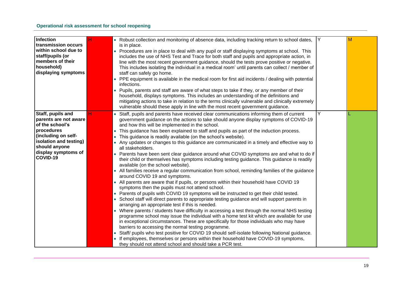| Infection<br>transmission occurs<br>within school due to<br>staff/pupils (or<br>members of their<br>household)<br>displaying symptoms                                            | • Robust collection and monitoring of absence data, including tracking return to school dates,<br>is in place.<br>• Procedures are in place to deal with any pupil or staff displaying symptoms at school. This<br>includes the use of NHS Test and Trace for both staff and pupils and appropriate action, in<br>line with the most recent government guidance, should the tests prove positive or negative.<br>This includes isolating the individual in a medical room' until parents can collect / member of<br>staff can safely go home.<br>PPE equipment is available in the medical room for first aid incidents / dealing with potential<br>infections.<br>Pupils, parents and staff are aware of what steps to take if they, or any member of their<br>household, displays symptoms. This includes an understanding of the definitions and<br>mitigating actions to take in relation to the terms clinically vulnerable and clinically extremely<br>vulnerable should these apply in line with the most recent government guidance.                                                                                                                                                                                                                                                                                                                                                                                                                                                                                                                                                                                                                                                                                                                                                                                                                                                               | ΙY | M |
|----------------------------------------------------------------------------------------------------------------------------------------------------------------------------------|------------------------------------------------------------------------------------------------------------------------------------------------------------------------------------------------------------------------------------------------------------------------------------------------------------------------------------------------------------------------------------------------------------------------------------------------------------------------------------------------------------------------------------------------------------------------------------------------------------------------------------------------------------------------------------------------------------------------------------------------------------------------------------------------------------------------------------------------------------------------------------------------------------------------------------------------------------------------------------------------------------------------------------------------------------------------------------------------------------------------------------------------------------------------------------------------------------------------------------------------------------------------------------------------------------------------------------------------------------------------------------------------------------------------------------------------------------------------------------------------------------------------------------------------------------------------------------------------------------------------------------------------------------------------------------------------------------------------------------------------------------------------------------------------------------------------------------------------------------------------------------------------------------|----|---|
| Staff, pupils and<br>parents are not aware<br>of the school's<br>procedures<br>(including on self-<br>isolation and testing)<br>should anyone<br>display symptoms of<br>COVID-19 | • Staff, pupils and parents have received clear communications informing them of current<br>government guidance on the actions to take should anyone display symptoms of COVID-19<br>and how this will be implemented in the school.<br>This guidance has been explained to staff and pupils as part of the induction process.<br>$\bullet$<br>This guidance is readily available (on the school's website).<br>• Any updates or changes to this guidance are communicated in a timely and effective way to<br>all stakeholders.<br>• Parents have been sent clear guidance around what COVID symptoms are and what to do if<br>their child or themselves has symptoms including testing guidance. This guidance is readily<br>available (on the school website).<br>• All families receive a regular communication from school, reminding families of the guidance<br>around COVID 19 and symptoms.<br>• All parents are aware that if pupils, or persons within their household have COVID 19<br>symptoms then the pupils must not attend school.<br>• Parents of pupils with COVID 19 symptoms will be instructed to get their child tested.<br>School staff will direct parents to appropriate testing guidance and will support parents in<br>arranging an appropriate test if this is needed.<br>• Where parents / students have difficulty in accessing a test through the normal NHS testing<br>programme school may issue the individual with a home test kit which are available for use<br>in exceptional circumstances. These are specifically for those individuals who may have<br>barriers to accessing the normal testing programme.<br>Staff/ pupils who test positive for COVID 19 should self-isolate following National guidance.<br>• If employees, themselves or persons within their household have COVID-19 symptoms,<br>they should not attend school and should take a PCR test. | Y  |   |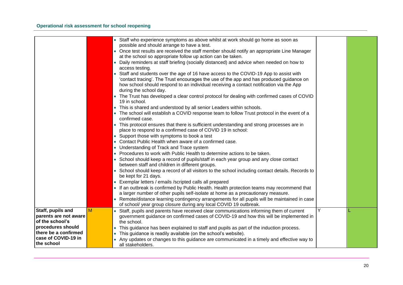|                       |   | • Staff who experience symptoms as above whilst at work should go home as soon as                 |   |  |
|-----------------------|---|---------------------------------------------------------------------------------------------------|---|--|
|                       |   | possible and should arrange to have a test.                                                       |   |  |
|                       |   | • Once test results are received the staff member should notify an appropriate Line Manager       |   |  |
|                       |   | at the school so appropriate follow up action can be taken.                                       |   |  |
|                       |   | • Daily reminders at staff briefing (socially distanced) and advice when needed on how to         |   |  |
|                       |   | access testing.                                                                                   |   |  |
|                       |   | • Staff and students over the age of 16 have access to the COVID-19 App to assist with            |   |  |
|                       |   | 'contact tracing'. The Trust encourages the use of the app and has produced guidance on           |   |  |
|                       |   | how school should respond to an individual receiving a contact notification via the App           |   |  |
|                       |   | during the school day.                                                                            |   |  |
|                       |   | • The Trust has developed a clear control protocol for dealing with confirmed cases of COVID      |   |  |
|                       |   | 19 in school.                                                                                     |   |  |
|                       |   | • This is shared and understood by all senior Leaders within schools.                             |   |  |
|                       |   | • The school will establish a COVID response team to follow Trust protocol in the event of a      |   |  |
|                       |   | confirmed case.                                                                                   |   |  |
|                       |   | • This protocol ensures that there is sufficient understanding and strong processes are in        |   |  |
|                       |   | place to respond to a confirmed case of COVID 19 in school:                                       |   |  |
|                       |   | • Support those with symptoms to book a test                                                      |   |  |
|                       |   | • Contact Public Health when aware of a confirmed case.                                           |   |  |
|                       |   | • Understanding of Track and Trace system                                                         |   |  |
|                       |   | • Procedures to work with Public Health to determine actions to be taken.                         |   |  |
|                       |   | • School should keep a record of pupils/staff in each year group and any close contact            |   |  |
|                       |   | between staff and children in different groups.                                                   |   |  |
|                       |   | • School should keep a record of all visitors to the school including contact details. Records to |   |  |
|                       |   | be kept for 21 days.                                                                              |   |  |
|                       |   | • Exemplar letters / emails /scripted calls all prepared                                          |   |  |
|                       |   | • If an outbreak is confirmed by Public Health. Health protection teams may recommend that        |   |  |
|                       |   | a larger number of other pupils self-isolate at home as a precautionary measure.                  |   |  |
|                       |   | • Remote/distance learning contingency arrangements for all pupils will be maintained in case     |   |  |
|                       |   | of school/ year group closure during any local COVID 19 outbreak.                                 |   |  |
| Staff, pupils and     | M | Staff, pupils and parents have received clear communications informing them of current            | Y |  |
| parents are not aware |   | government guidance on confirmed cases of COVID-19 and how this will be implemented in            |   |  |
| of the school's       |   | the school.                                                                                       |   |  |
| procedures should     |   | • This guidance has been explained to staff and pupils as part of the induction process.          |   |  |
| there be a confirmed  |   | This guidance is readily available (on the school's website).                                     |   |  |
| case of COVID-19 in   |   | • Any updates or changes to this guidance are communicated in a timely and effective way to       |   |  |
| the school            |   | all stakeholders.                                                                                 |   |  |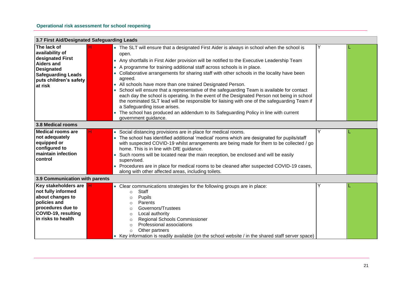| 3.7 First Aid/Designated Safeguarding Leads                                                                                                                    |                                                                                                                                                                                                                                                                                                                                                                                                                                                                                                                                                                                                                                                                                                                                                                                                                                                                                                |   |  |  |  |  |
|----------------------------------------------------------------------------------------------------------------------------------------------------------------|------------------------------------------------------------------------------------------------------------------------------------------------------------------------------------------------------------------------------------------------------------------------------------------------------------------------------------------------------------------------------------------------------------------------------------------------------------------------------------------------------------------------------------------------------------------------------------------------------------------------------------------------------------------------------------------------------------------------------------------------------------------------------------------------------------------------------------------------------------------------------------------------|---|--|--|--|--|
| The lack of<br>availability of<br>designated First<br><b>Aiders and</b><br><b>Designated</b><br><b>Safeguarding Leads</b><br>puts children's safety<br>at risk | • The SLT will ensure that a designated First Aider is always in school when the school is<br>open.<br>• Any shortfalls in First Aider provision will be notified to the Executive Leadership Team<br>• A programme for training additional staff across schools is in place.<br>Collaborative arrangements for sharing staff with other schools in the locality have been<br>agreed.<br>All schools have more than one trained Designated Person.<br>School will ensure that a representative of the safeguarding Team is available for contact<br>each day the school is operating. In the event of the Designated Person not being in school<br>the nominated SLT lead will be responsible for liaising with one of the safeguarding Team if<br>a Safeguarding issue arises.<br>The school has produced an addendum to its Safeguarding Policy in line with current<br>government guidance. | Y |  |  |  |  |
| 3.8 Medical rooms                                                                                                                                              |                                                                                                                                                                                                                                                                                                                                                                                                                                                                                                                                                                                                                                                                                                                                                                                                                                                                                                |   |  |  |  |  |
| <b>Medical rooms are</b><br>not adequately<br>equipped or<br>configured to<br>maintain infection<br>control                                                    | н<br>• Social distancing provisions are in place for medical rooms.<br>• The school has identified additional 'medical' rooms which are designated for pupils/staff<br>with suspected COVID-19 whilst arrangements are being made for them to be collected / go<br>home. This is in line with DfE guidance.<br>Such rooms will be located near the main reception, be enclosed and will be easily<br>supervised.<br>• Procedures are in place for medical rooms to be cleaned after suspected COVID-19 cases,<br>along with other affected areas, including toilets.                                                                                                                                                                                                                                                                                                                           |   |  |  |  |  |
| 3.9 Communication with parents                                                                                                                                 |                                                                                                                                                                                                                                                                                                                                                                                                                                                                                                                                                                                                                                                                                                                                                                                                                                                                                                |   |  |  |  |  |
| Key stakeholders are H<br>not fully informed<br>about changes to<br>policies and<br>procedures due to<br>COVID-19, resulting<br>in risks to health             | • Clear communications strategies for the following groups are in place:<br>Staff<br>$\Omega$<br>Pupils<br>$\circ$<br>Parents<br>$\Omega$<br>Governors/Trustees<br>$\circ$<br>Local authority<br>$\circ$<br>Regional Schools Commissioner<br>$\circ$<br>Professional associations<br>$\Omega$<br>Other partners<br>$\circ$<br>• Key information is readily available (on the school website / in the shared staff server space)                                                                                                                                                                                                                                                                                                                                                                                                                                                                |   |  |  |  |  |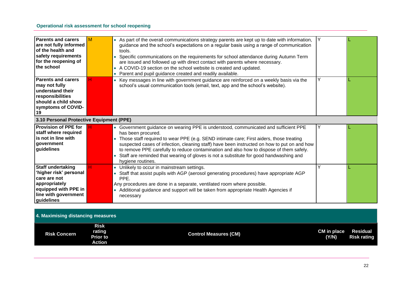| <b>Parents and carers</b><br>are not fully informed<br>of the health and<br>safety requirements<br>for the reopening of<br>the school             | M | As part of the overall communications strategy parents are kept up to date with information,<br>guidance and the school's expectations on a regular basis using a range of communication<br>tools.<br>Specific communications on the requirements for school attendance during Autumn Term<br>are issued and followed up with direct contact with parents where necessary.<br>• A COVID-19 section on the school website is created and updated.<br>Parent and pupil guidance created and readily available.  |   |  |
|---------------------------------------------------------------------------------------------------------------------------------------------------|---|---------------------------------------------------------------------------------------------------------------------------------------------------------------------------------------------------------------------------------------------------------------------------------------------------------------------------------------------------------------------------------------------------------------------------------------------------------------------------------------------------------------|---|--|
| <b>Parents and carers</b><br>may not fully<br>understand their<br>responsibilities<br>should a child show<br>symptoms of COVID-<br>19             |   | Key messages in line with government guidance are reinforced on a weekly basis via the<br>school's usual communication tools (email, text, app and the school's website).                                                                                                                                                                                                                                                                                                                                     | Υ |  |
| 3.10 Personal Protective Equipment (PPE)                                                                                                          |   |                                                                                                                                                                                                                                                                                                                                                                                                                                                                                                               |   |  |
| <b>Provision of PPE for</b><br>staff where required<br>is not in line with<br>qovernment<br>guidelines                                            |   | • Government guidance on wearing PPE is understood, communicated and sufficient PPE<br>has been procured.<br>Those staff required to wear PPE (e.g. SEND intimate care; First aiders, those treating<br>suspected cases of infection, cleaning staff) have been instructed on how to put on and how<br>to remove PPE carefully to reduce contamination and also how to dispose of them safely.<br>Staff are reminded that wearing of gloves is not a substitute for good handwashing and<br>hygiene routines. |   |  |
| <b>Staff undertaking</b><br>'higher risk' personal<br>care are not<br>appropriately<br>equipped with PPE in<br>line with government<br>guidelines |   | • Unlikely to occur in mainstream settings.<br>Staff that assist pupils with AGP (aerosol generating procedures) have appropriate AGP<br>PPE.<br>Any procedures are done in a separate, ventilated room where possible.<br>• Additional guidance and support will be taken from appropriate Health Agencies if<br>necessary                                                                                                                                                                                   | Y |  |

| 4. Maximising distancing measures |                                                    |                              |                                                               |
|-----------------------------------|----------------------------------------------------|------------------------------|---------------------------------------------------------------|
| <b>Risk Concern</b>               | <b>Risk</b><br>rating<br><b>Prior to</b><br>Action | <b>Control Measures (CM)</b> | CM in place<br><b>Residual</b><br>(Y/N)<br><b>Risk rating</b> |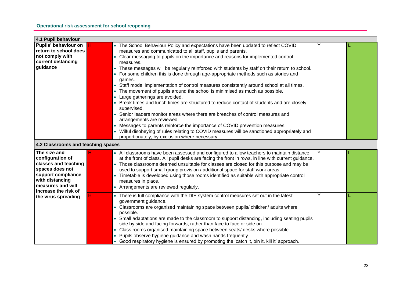| 4.1 Pupil behaviour                                                                                                                                               |                                                                                                                                                                                                                                                                                                                                                                                                                                                                                                                                                                                                                                                                                                                                                                                                                                                                                 |   |  |
|-------------------------------------------------------------------------------------------------------------------------------------------------------------------|---------------------------------------------------------------------------------------------------------------------------------------------------------------------------------------------------------------------------------------------------------------------------------------------------------------------------------------------------------------------------------------------------------------------------------------------------------------------------------------------------------------------------------------------------------------------------------------------------------------------------------------------------------------------------------------------------------------------------------------------------------------------------------------------------------------------------------------------------------------------------------|---|--|
| Pupils' behaviour on<br>return to school does<br>not comply with<br>current distancing                                                                            | • The School Behaviour Policy and expectations have been updated to reflect COVID<br>measures and communicated to all staff, pupils and parents.<br>• Clear messaging to pupils on the importance and reasons for implemented control<br>measures.                                                                                                                                                                                                                                                                                                                                                                                                                                                                                                                                                                                                                              |   |  |
| guidance                                                                                                                                                          | • These messages will be regularly reinforced with students by staff on their return to school.<br>• For some children this is done through age-appropriate methods such as stories and<br>games.<br>• Staff model implementation of control measures consistently around school at all times.<br>• The movement of pupils around the school is minimised as much as possible.<br>• Large gatherings are avoided.<br>• Break times and lunch times are structured to reduce contact of students and are closely<br>supervised.<br>Senior leaders monitor areas where there are breaches of control measures and<br>arrangements are reviewed.<br>• Messages to parents reinforce the importance of COVID prevention measures.<br>• Wilful disobeying of rules relating to COVID measures will be sanctioned appropriately and<br>proportionately, by exclusion where necessary. |   |  |
| 4.2 Classrooms and teaching spaces                                                                                                                                |                                                                                                                                                                                                                                                                                                                                                                                                                                                                                                                                                                                                                                                                                                                                                                                                                                                                                 |   |  |
| The size and<br>configuration of<br>classes and teaching<br>spaces does not<br>support compliance<br>with distancing<br>measures and will<br>increase the risk of | • All classrooms have been assessed and configured to allow teachers to maintain distance<br>at the front of class. All pupil desks are facing the front in rows, in line with current guidance.<br>• Those classrooms deemed unsuitable for classes are closed for this purpose and may be<br>used to support small group provision / additional space for staff work areas.<br>• Timetable is developed using those rooms identified as suitable with appropriate control<br>measures in place.<br>• Arrangements are reviewed regularly.                                                                                                                                                                                                                                                                                                                                     | Y |  |
| the virus spreading                                                                                                                                               | • There is full compliance with the DfE system control measures set out in the latest<br>government guidance.<br>• Classrooms are organised maintaining space between pupils/children/adults where<br>possible.<br>• Small adaptations are made to the classroom to support distancing, including seating pupils<br>side by side and facing forwards, rather than face to face or side on.<br>• Class rooms organised maintaining space between seats/ desks where possible.<br>• Pupils observe hygiene guidance and wash hands frequently.<br>• Good respiratory hygiene is ensured by promoting the 'catch it, bin it, kill it' approach.                                                                                                                                                                                                                                    | ٧ |  |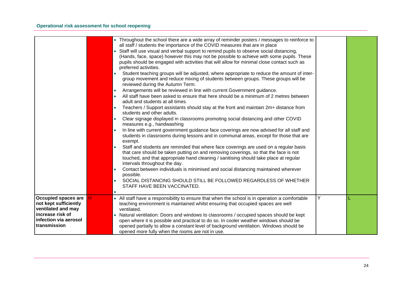|                                                                                                                 | • Throughout the school there are a wide array of reminder posters / messages to reinforce to<br>all staff / students the importance of the COVID measures that are in place<br>Staff will use visual and verbal support to remind pupils to observe social distancing,<br>(Hands, face, space) however this may not be possible to achieve with some pupils. These<br>pupils should be engaged with activities that will allow for minimal close contact such as<br>preferred activities.<br>Student teaching groups will be adjusted, where appropriate to reduce the amount of inter-<br>group movement and reduce mixing of students between groups. These groups will be<br>reviewed during the Autumn Term.<br>Arrangements will be reviewed in line with current Government guidance.<br>$\bullet$<br>All staff have been asked to ensure that here should be a minimum of 2 metres between<br>adult and students at all times.<br>Teachers / Support assistants should stay at the front and maintain 2m+ distance from<br>students and other adults.<br>Clear signage displayed in classrooms promoting social distancing and other COVID<br>measures e.g., handwashing<br>In line with current government guidance face coverings are now advised for all staff and<br>students in classrooms during lessons and in communal areas, except for those that are<br>exempt.<br>Staff and students are reminded that where face coverings are used on a regular basis<br>that care should be taken putting on and removing coverings, so that the face is not |   |  |
|-----------------------------------------------------------------------------------------------------------------|---------------------------------------------------------------------------------------------------------------------------------------------------------------------------------------------------------------------------------------------------------------------------------------------------------------------------------------------------------------------------------------------------------------------------------------------------------------------------------------------------------------------------------------------------------------------------------------------------------------------------------------------------------------------------------------------------------------------------------------------------------------------------------------------------------------------------------------------------------------------------------------------------------------------------------------------------------------------------------------------------------------------------------------------------------------------------------------------------------------------------------------------------------------------------------------------------------------------------------------------------------------------------------------------------------------------------------------------------------------------------------------------------------------------------------------------------------------------------------------------------------------------------------------------------------------------|---|--|
|                                                                                                                 | touched, and that appropriate hand cleaning / sanitising should take place at regular<br>intervals throughout the day.<br>Contact between individuals is minimised and social distancing maintained wherever<br>possible.<br>SOCIAL DISTANCING SHOULD STILL BE FOLLOWED REGARDLESS OF WHETHER<br>STAFF HAVE BEEN VACCINATED.                                                                                                                                                                                                                                                                                                                                                                                                                                                                                                                                                                                                                                                                                                                                                                                                                                                                                                                                                                                                                                                                                                                                                                                                                                        |   |  |
|                                                                                                                 |                                                                                                                                                                                                                                                                                                                                                                                                                                                                                                                                                                                                                                                                                                                                                                                                                                                                                                                                                                                                                                                                                                                                                                                                                                                                                                                                                                                                                                                                                                                                                                     |   |  |
| Occupied spaces are<br>not kept sufficiently<br>ventilated and may<br>increase risk of<br>infection via aerosol | • All staff have a responsibility to ensure that when the school is in operation a comfortable<br>teaching environment is maintained whilst ensuring that occupied spaces are well<br>ventilated.<br>• Natural ventilation: Doors and windows to classrooms / occupied spaces should be kept<br>open where it is possible and practical to do so. In cooler weather windows should be                                                                                                                                                                                                                                                                                                                                                                                                                                                                                                                                                                                                                                                                                                                                                                                                                                                                                                                                                                                                                                                                                                                                                                               | Y |  |
| transmission                                                                                                    | opened partially to allow a constant level of background ventilation. Windows should be<br>opened more fully when the rooms are not in use.                                                                                                                                                                                                                                                                                                                                                                                                                                                                                                                                                                                                                                                                                                                                                                                                                                                                                                                                                                                                                                                                                                                                                                                                                                                                                                                                                                                                                         |   |  |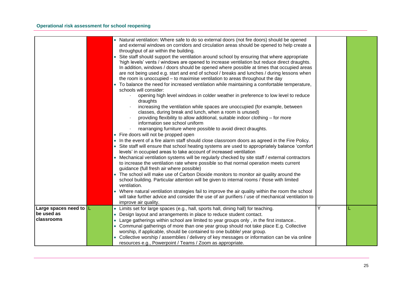|                                          | • Natural ventilation: Where safe to do so external doors (not fire doors) should be opened<br>and external windows on corridors and circulation areas should be opened to help create a<br>throughput of air within the building. |   |  |
|------------------------------------------|------------------------------------------------------------------------------------------------------------------------------------------------------------------------------------------------------------------------------------|---|--|
|                                          | Site staff should support the ventilation around school by ensuring that where appropriate                                                                                                                                         |   |  |
|                                          | 'high levels' vents / windows are opened to increase ventilation but reduce direct draughts.                                                                                                                                       |   |  |
|                                          | In addition, windows / doors should be opened where possible at times that occupied areas                                                                                                                                          |   |  |
|                                          | are not being used e.g. start and end of school / breaks and lunches / during lessons when                                                                                                                                         |   |  |
|                                          | the room is unoccupied – to maximise ventilation to areas throughout the day                                                                                                                                                       |   |  |
|                                          | To balance the need for increased ventilation while maintaining a comfortable temperature,                                                                                                                                         |   |  |
|                                          | schools will consider:                                                                                                                                                                                                             |   |  |
|                                          | opening high level windows in colder weather in preference to low level to reduce<br>draughts                                                                                                                                      |   |  |
|                                          | increasing the ventilation while spaces are unoccupied (for example, between<br>classes, during break and lunch, when a room is unused)                                                                                            |   |  |
|                                          | providing flexibility to allow additional, suitable indoor clothing - for more                                                                                                                                                     |   |  |
|                                          | information see school uniform                                                                                                                                                                                                     |   |  |
|                                          | rearranging furniture where possible to avoid direct draughts.                                                                                                                                                                     |   |  |
|                                          | • Fire doors will not be propped open                                                                                                                                                                                              |   |  |
|                                          | • In the event of a fire alarm staff should close classroom doors as agreed in the Fire Policy.                                                                                                                                    |   |  |
|                                          | • Site staff will ensure that school heating systems are used to appropriately balance 'comfort'<br>levels' in occupied areas to take account of increased ventilation                                                             |   |  |
|                                          | • Mechanical ventilation systems will be regularly checked by site staff / external contractors                                                                                                                                    |   |  |
|                                          | to increase the ventilation rate where possible so that normal operation meets current<br>guidance (full fresh air where possible)                                                                                                 |   |  |
|                                          | The school will make use of Carbon Dioxide monitors to monitor air quality around the                                                                                                                                              |   |  |
|                                          | school building. Particular attention will be given to internal rooms / those with limited                                                                                                                                         |   |  |
|                                          | ventilation.                                                                                                                                                                                                                       |   |  |
|                                          | Where natural ventilation strategies fail to improve the air quality within the room the school                                                                                                                                    |   |  |
|                                          | will take further advice and consider the use of air purifiers / use of mechanical ventilation to                                                                                                                                  |   |  |
|                                          | improve air quality.                                                                                                                                                                                                               | Y |  |
| Large spaces need to $ L $<br>be used as | • Limits set for large spaces (e.g., hall, sports hall, dining hall) for teaching.                                                                                                                                                 |   |  |
| classrooms                               | Design layout and arrangements in place to reduce student contact.<br>$\bullet$                                                                                                                                                    |   |  |
|                                          | • Large gatherings within school are limited to year groups only, in the first instance<br>• Communal gatherings of more than one year group should not take place E.g. Collective                                                 |   |  |
|                                          | worship, if applicable, should be contained to one bubble/ year group.                                                                                                                                                             |   |  |
|                                          | Collective worship / assemblies / delivery of key messages or information can be via online                                                                                                                                        |   |  |
|                                          | resources e.g., Powerpoint / Teams / Zoom as appropriate.                                                                                                                                                                          |   |  |
|                                          |                                                                                                                                                                                                                                    |   |  |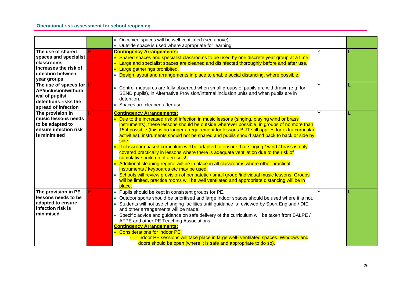|                         | • Occupied spaces will be well ventilated (see above)                                              |   |  |
|-------------------------|----------------------------------------------------------------------------------------------------|---|--|
|                         | • Outside space is used where appropriate for learning.                                            |   |  |
| The use of shared       | <b>Contingency Arrangements:</b>                                                                   | Y |  |
| spaces and specialist   | • Shared spaces and specialist classrooms to be used by one discrete year group at a time.         |   |  |
| classrooms              | • Large and specialist spaces are cleaned and disinfected thoroughly before and after use.         |   |  |
| increases the risk of   | • Large gatherings prohibited.                                                                     |   |  |
| infection between       | • Design layout and arrangements in place to enable social distancing. where possible.             |   |  |
| year groups             |                                                                                                    |   |  |
| The use of spaces for H | • Control measures are fully observed when small groups of pupils are withdrawn (e.g. for          | Υ |  |
| AP/inclusion/withdra    | SEND pupils), in Alternative Provision/internal inclusion units and when pupils are in             |   |  |
| wal of pupils/          | detention.                                                                                         |   |  |
| detentions risks the    | • Spaces are cleaned after use.                                                                    |   |  |
| spread of infection     |                                                                                                    |   |  |
| The provision in        | <b>Contingency Arrangements:</b>                                                                   | Υ |  |
| music lessons needs     | • Due to the increased risk of infection in music lessons (singing, playing wind or brass          |   |  |
| to be adapted to        | instruments), these lessons should be outside wherever possible, in groups of no more than         |   |  |
| ensure infection risk   | 15 if possible (this is no longer a requirement for lessons BUT still applies for extra curricular |   |  |
| is minimised            | activities), instruments should not be shared and pupils should stand back to back or side by      |   |  |
|                         | side.                                                                                              |   |  |
|                         | • If classroom based curriculum will be adapted to ensure that singing / wind / brass is only      |   |  |
|                         | covered practically in lessons where there is adequate ventilation due to the risk of              |   |  |
|                         | cumulative build up of aerosols!.                                                                  |   |  |
|                         | Additional cleaning regime will be in place in all classrooms where other practical                |   |  |
|                         | instruments / keyboards etc may be used.                                                           |   |  |
|                         | • Schools will review provision of peripatetic / small group /individual music lessons. Groups     |   |  |
|                         | will be limited, practice rooms will be well ventilated and appropriate distancing will be in      |   |  |
|                         | place.                                                                                             |   |  |
| The provision in PE     | • Pupils should be kept in consistent groups for PE.                                               | v |  |
| lessons needs to be     | • Outdoor sports should be prioritised and large indoor spaces should be used where it is not.     |   |  |
| adapted to ensure       | • Students will not use changing facilities until guidance is reviewed by Sport England / DfE      |   |  |
| infection risk is       | and other arrangements will be made.                                                               |   |  |
| minimised               | • Specific advice and guidance on safe delivery of the curriculum will be taken from BALPE /       |   |  |
|                         | AFPE and other PE Teaching Associations                                                            |   |  |
|                         | <b>Contingency Arrangements:</b>                                                                   |   |  |
|                         | • Considerations for indoor PE:                                                                    |   |  |
|                         | Indoor PE sessions will take place in large well- ventilated spaces. Windows and                   |   |  |
|                         | doors should be open (where it is safe and appropriate to do so).                                  |   |  |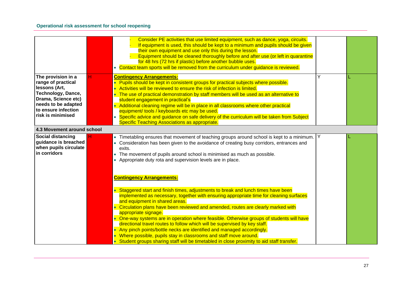|                            |    | Consider PE activities that use limited equipment, such as dance, yoga, circuits.            |   |  |
|----------------------------|----|----------------------------------------------------------------------------------------------|---|--|
|                            |    | If equipment is used, this should be kept to a minimum and pupils should be given            |   |  |
|                            |    | their own equipment and use only this during the lesson.                                     |   |  |
|                            |    | Equipment should be cleaned thoroughly before and after use (or left in quarantine           |   |  |
|                            |    | for 48 hrs (72 hrs if plastic) before another bubble uses.                                   |   |  |
|                            |    | • Contact team sports will be removed from the curriculum under guidance is reviewed.        |   |  |
| The provision in a         | H. | <b>Contingency Arrangements:</b>                                                             | Υ |  |
| range of practical         |    | • Pupils should be kept in consistent groups for practical subjects where possible.          |   |  |
| lessons (Art,              |    | Activities will be reviewed to ensure the risk of infection is limited.                      |   |  |
| Technology, Dance,         |    | The use of practical demonstration by staff members will be used as an alternative to        |   |  |
| Drama, Science etc)        |    | student engagement in practical's                                                            |   |  |
| needs to be adapted        |    | Additional cleaning regime will be in place in all classrooms where other practical          |   |  |
| to ensure infection        |    | equipment/ tools / keyboards etc may be used.                                                |   |  |
| risk is minimised          |    | • Specific advice and guidance on safe delivery of the curriculum will be taken from Subject |   |  |
|                            |    | <b>Specific Teaching Associations as appropriate.</b>                                        |   |  |
| 4.3 Movement around school |    |                                                                                              |   |  |
| <b>Social distancing</b>   |    | • Timetabling ensures that movement of teaching groups around school is kept to a minimum.   | Y |  |
| guidance is breached       |    | • Consideration has been given to the avoidance of creating busy corridors, entrances and    |   |  |
| when pupils circulate      |    | exits.                                                                                       |   |  |
| in corridors               |    | • The movement of pupils around school is minimised as much as possible.                     |   |  |
|                            |    | • Appropriate duty rota and supervision levels are in place.                                 |   |  |
|                            |    |                                                                                              |   |  |
|                            |    |                                                                                              |   |  |
|                            |    | <b>Contingency Arrangements:</b>                                                             |   |  |
|                            |    |                                                                                              |   |  |
|                            |    | Staggered start and finish times, adjustments to break and lunch times have been             |   |  |
|                            |    | implemented as necessary, together with ensuring appropriate time for cleaning surfaces      |   |  |
|                            |    | and equipment in shared areas.                                                               |   |  |
|                            |    | Circulation plans have been reviewed and amended, routes are clearly marked with             |   |  |
|                            |    | appropriate signage.                                                                         |   |  |
|                            |    | One-way systems are in operation where feasible. Otherwise groups of students will have      |   |  |
|                            |    | directional travel routes to follow which will be supervised by key staff.                   |   |  |
|                            |    | • Any pinch points/bottle necks are identified and managed accordingly.                      |   |  |
|                            |    | Where possible, pupils stay in classrooms and staff move around.                             |   |  |
|                            |    | • Student groups sharing staff will be timetabled in close proximity to aid staff transfer.  |   |  |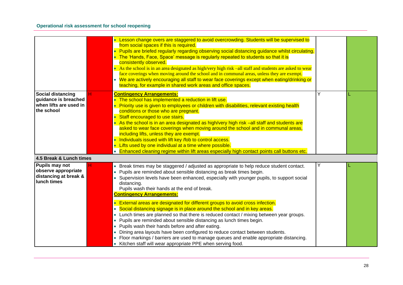|                                                                                          | • Lesson change overs are staggered to avoid overcrowding. Students will be supervised to<br>from social spaces if this is required.<br>Pupils are briefed regularly regarding observing social distancing guidance whilst circulating.<br>• The 'Hands, Face, Space' message is regularly repeated to students so that it is<br>consistently observed.<br>• As the school is in an area designated as high/very high risk –all staff and students are asked to wear<br>face coverings when moving around the school and in communal areas, unless they are exempt.<br>• We are actively encouraging all staff to wear face coverings except when eating/drinking or<br>teaching, for example in shared work areas and office spaces. |   |  |
|------------------------------------------------------------------------------------------|---------------------------------------------------------------------------------------------------------------------------------------------------------------------------------------------------------------------------------------------------------------------------------------------------------------------------------------------------------------------------------------------------------------------------------------------------------------------------------------------------------------------------------------------------------------------------------------------------------------------------------------------------------------------------------------------------------------------------------------|---|--|
| <b>Social distancing</b><br>guidance is breached<br>when lifts are used in<br>the school | <b>Contingency Arrangements:</b><br>н<br>The school has implemented a reduction in lift use.<br>• Priority use is given to employees or children with disabilities, relevant existing health<br>conditions or those who are pregnant.<br>Staff encouraged to use stairs.<br>As the school is in an area designated as high/very high risk -all staff and students are<br>asked to wear face coverings when moving around the school and in communal areas,<br>including lifts, unless they are exempt.<br>• Individuals issued with lift key /fob to control access.<br>• Lifts used by one individual at a time where possible.<br>• Enhanced cleaning regime within lift areas especially high contact points call buttons etc.     | Y |  |
| 4.5 Break & Lunch times                                                                  |                                                                                                                                                                                                                                                                                                                                                                                                                                                                                                                                                                                                                                                                                                                                       |   |  |
| Pupils may not<br>observe appropriate<br>distancing at break &<br>lunch times            | • Break times may be staggered / adjusted as appropriate to help reduce student contact.<br>• Pupils are reminded about sensible distancing as break times begin.<br>• Supervision levels have been enhanced, especially with younger pupils, to support social<br>distancing.<br>Pupils wash their hands at the end of break.<br><b>Contingency Arrangements:</b>                                                                                                                                                                                                                                                                                                                                                                    | Y |  |
|                                                                                          | • External areas are designated for different groups to avoid cross infection.<br>• Social distancing signage is in place around the school and in key areas.<br>• Lunch times are planned so that there is reduced contact / mixing between year groups.<br>• Pupils are reminded about sensible distancing as lunch times begin.<br>• Pupils wash their hands before and after eating.<br>• Dining area layouts have been configured to reduce contact between students.<br>• Floor markings / barriers are used to manage queues and enable appropriate distancing.<br>• Kitchen staff will wear appropriate PPE when serving food.                                                                                                |   |  |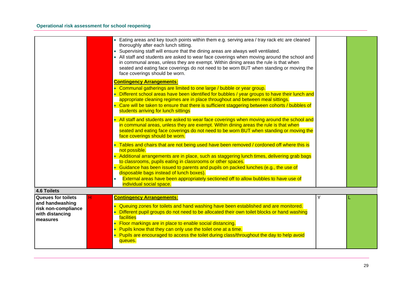|                           | • Eating areas and key touch points within them e.g. serving area / tray rack etc are cleaned<br>thoroughly after each lunch sitting.<br>• Supervising staff will ensure that the dining areas are always well ventilated.<br>• All staff and students are asked to wear face coverings when moving around the school and<br>in communal areas, unless they are exempt. Within dining areas the rule is that when<br>seated and eating face coverings do not need to be worn BUT when standing or moving the<br>face coverings should be worn. |  |
|---------------------------|------------------------------------------------------------------------------------------------------------------------------------------------------------------------------------------------------------------------------------------------------------------------------------------------------------------------------------------------------------------------------------------------------------------------------------------------------------------------------------------------------------------------------------------------|--|
|                           | <b>Contingency Arrangements:</b>                                                                                                                                                                                                                                                                                                                                                                                                                                                                                                               |  |
|                           | • Communal gatherings are limited to one large / bubble or year group.<br>• Different school areas have been identified for bubbles / year groups to have their lunch and<br>appropriate cleaning regimes are in place throughout and between meal sittings.<br>• Care will be taken to ensure that there is sufficient staggering between cohorts / bubbles of<br>students arriving for lunch sittings                                                                                                                                        |  |
|                           | • All staff and students are asked to wear face coverings when moving around the school and<br>in communal areas, unless they are exempt. Within dining areas the rule is that when<br>seated and eating face coverings do not need to be worn BUT when standing or moving the<br>face coverings should be worn.                                                                                                                                                                                                                               |  |
|                           | Tables and chairs that are not being used have been removed / cordoned off where this is<br>not possible.                                                                                                                                                                                                                                                                                                                                                                                                                                      |  |
|                           | • Additional arrangements are in place, such as staggering lunch times, delivering grab bags<br>to classrooms, pupils eating in classrooms or other spaces.                                                                                                                                                                                                                                                                                                                                                                                    |  |
|                           | • Guidance has been issued to parents and pupils on packed lunches (e.g., the use of<br>disposable bags instead of lunch boxes).                                                                                                                                                                                                                                                                                                                                                                                                               |  |
|                           | External areas have been appropriately sectioned off to allow bubbles to have use of<br>individual social space.                                                                                                                                                                                                                                                                                                                                                                                                                               |  |
| 4.6 Toilets               |                                                                                                                                                                                                                                                                                                                                                                                                                                                                                                                                                |  |
| <b>Queues for toilets</b> | <b>Contingency Arrangements:</b>                                                                                                                                                                                                                                                                                                                                                                                                                                                                                                               |  |
| and handwashing           |                                                                                                                                                                                                                                                                                                                                                                                                                                                                                                                                                |  |
| risk non-compliance       | • Queuing zones for toilets and hand washing have been established and are monitored.                                                                                                                                                                                                                                                                                                                                                                                                                                                          |  |
| with distancing           | • Different pupil groups do not need to be allocated their own toilet blocks or hand washing                                                                                                                                                                                                                                                                                                                                                                                                                                                   |  |
| measures                  | facilities                                                                                                                                                                                                                                                                                                                                                                                                                                                                                                                                     |  |
|                           | • Floor markings are in place to enable social distancing.                                                                                                                                                                                                                                                                                                                                                                                                                                                                                     |  |
|                           | • Pupils know that they can only use the toilet one at a time.                                                                                                                                                                                                                                                                                                                                                                                                                                                                                 |  |
|                           | • Pupils are encouraged to access the toilet during class/throughout the day to help avoid<br>queues.                                                                                                                                                                                                                                                                                                                                                                                                                                          |  |
|                           |                                                                                                                                                                                                                                                                                                                                                                                                                                                                                                                                                |  |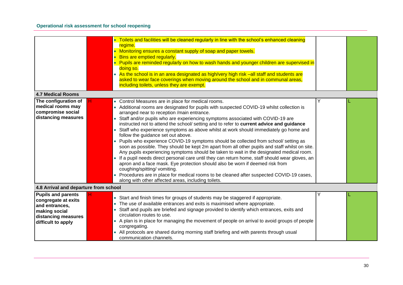|                                                                                                                                  | • Toilets and facilities will be cleaned regularly in line with the school's enhanced cleaning<br>regime.<br>• Monitoring ensures a constant supply of soap and paper towels.<br><b>Bins are emptied regularly.</b><br>• Pupils are reminded regularly on how to wash hands and younger children are supervised in<br>doing so.<br>• As the school is in an area designated as high/very high risk -all staff and students are<br>asked to wear face coverings when moving around the school and in communal areas,<br>including toilets, unless they are exempt.                                                                                                                                                                                                                                                                                                                                                                                                                                                                                                                                                                                                            |  |
|----------------------------------------------------------------------------------------------------------------------------------|------------------------------------------------------------------------------------------------------------------------------------------------------------------------------------------------------------------------------------------------------------------------------------------------------------------------------------------------------------------------------------------------------------------------------------------------------------------------------------------------------------------------------------------------------------------------------------------------------------------------------------------------------------------------------------------------------------------------------------------------------------------------------------------------------------------------------------------------------------------------------------------------------------------------------------------------------------------------------------------------------------------------------------------------------------------------------------------------------------------------------------------------------------------------------|--|
| <b>4.7 Medical Rooms</b>                                                                                                         |                                                                                                                                                                                                                                                                                                                                                                                                                                                                                                                                                                                                                                                                                                                                                                                                                                                                                                                                                                                                                                                                                                                                                                              |  |
| The configuration of<br>medical rooms may<br>compromise social<br>distancing measures                                            | • Control Measures are in place for medical rooms.<br>• Additional rooms are designated for pupils with suspected COVID-19 whilst collection is<br>arranged near to reception /main entrance.<br>• Staff and/or pupils who are experiencing symptoms associated with COVID-19 are<br>instructed not to attend the school/ setting and to refer to current advice and guidance<br>• Staff who experience symptoms as above whilst at work should immediately go home and<br>follow the guidance set out above.<br>• Pupils who experience COVID-19 symptoms should be collected from school/ setting as<br>soon as possible. They should be kept 2m apart from all other pupils and staff whilst on site.<br>Any pupils experiencing symptoms should be taken to wait in the designated medical room.<br>• If a pupil needs direct personal care until they can return home, staff should wear gloves, an<br>apron and a face mask. Eye protection should also be worn if deemed risk from<br>coughing/spitting/vomiting.<br>• Procedures are in place for medical rooms to be cleaned after suspected COVID-19 cases,<br>along with other affected areas, including toilets. |  |
| 4.8 Arrival and departure from school                                                                                            |                                                                                                                                                                                                                                                                                                                                                                                                                                                                                                                                                                                                                                                                                                                                                                                                                                                                                                                                                                                                                                                                                                                                                                              |  |
| <b>Pupils and parents</b><br>congregate at exits<br>and entrances,<br>making social<br>distancing measures<br>difficult to apply | • Start and finish times for groups of students may be staggered if appropriate.<br>• The use of available entrances and exits is maximised where appropriate.<br>• Staff and pupils are briefed and signage provided to identify which entrances, exits and<br>circulation routes to use.<br>• A plan is in place for managing the movement of people on arrival to avoid groups of people<br>congregating.<br>• All protocols are shared during morning staff briefing and with parents through usual<br>communication channels.                                                                                                                                                                                                                                                                                                                                                                                                                                                                                                                                                                                                                                           |  |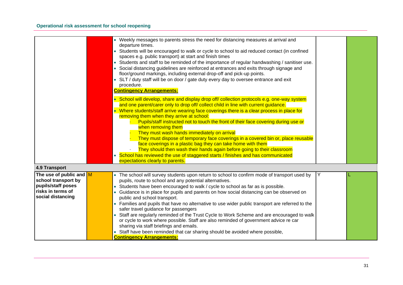|                                               | • Weekly messages to parents stress the need for distancing measures at arrival and<br>departure times.<br>Students will be encouraged to walk or cycle to school to aid reduced contact (in confined<br>spaces e.g. public transport) at start and finish times<br>Students and staff to be reminded of the importance of regular handwashing / sanitiser use.<br>• Social distancing guidelines are reinforced at entrances and exits through signage and<br>floor/ground markings, including external drop-off and pick-up points.<br>• SLT / duty staff will be on door / gate duty every day to oversee entrance and exit<br>procedure.<br><b>Contingency Arrangements:</b>                                                                                                                                                                 |                                  |                                                                                             |
|-----------------------------------------------|--------------------------------------------------------------------------------------------------------------------------------------------------------------------------------------------------------------------------------------------------------------------------------------------------------------------------------------------------------------------------------------------------------------------------------------------------------------------------------------------------------------------------------------------------------------------------------------------------------------------------------------------------------------------------------------------------------------------------------------------------------------------------------------------------------------------------------------------------|----------------------------------|---------------------------------------------------------------------------------------------|
|                                               | • School will develop, share and display drop off/ collection protocols e.g. one-way system<br>and one parent/carer only to drop off/ collect child in line with current guidance.<br>• Where students/staff arrive wearing face coverings there is a clear process in place for<br>removing them when they arrive at school:<br>Pupils/staff instructed not to touch the front of their face covering during use or<br>when removing them<br>They must wash hands immediately on arrival<br>They must dispose of temporary face coverings in a covered bin or, place reusable<br>face coverings in a plastic bag they can take home with them<br>They should then wash their hands again before going to their classroom<br>School has reviewed the use of staggered starts / finishes and has communicated<br>expectations clearly to parents. |                                  |                                                                                             |
|                                               |                                                                                                                                                                                                                                                                                                                                                                                                                                                                                                                                                                                                                                                                                                                                                                                                                                                  |                                  |                                                                                             |
| The use of public and $\overline{\mathsf{M}}$ | • The school will survey students upon return to school to confirm mode of transport used by<br>pupils, route to school and any potential alternatives.<br>Students have been encouraged to walk / cycle to school as far as is possible.<br>• Guidance is in place for pupils and parents on how social distancing can be observed on<br>public and school transport.<br>• Families and pupils that have no alternative to use wider public transport are referred to the<br>safer travel guidance for passengers<br>or cycle to work where possible. Staff are also reminded of government advice re car<br>sharing via staff briefings and emails.<br>• Staff have been reminded that car sharing should be avoided where possible,                                                                                                           | Y                                |                                                                                             |
|                                               |                                                                                                                                                                                                                                                                                                                                                                                                                                                                                                                                                                                                                                                                                                                                                                                                                                                  | <b>Contingency Arrangements:</b> | • Staff are regularly reminded of the Trust Cycle to Work Scheme and are encouraged to walk |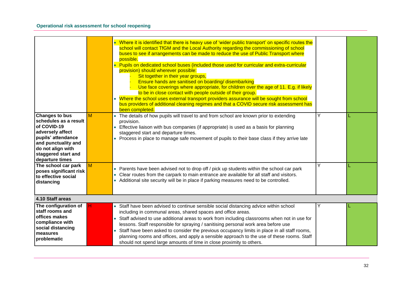|                                                                                                                                                                                               |                         | • Where it is identified that there is heavy use of 'wider public transport' on specific routes the<br>school will contact TfGM and the Local Authority regarding the commissioning of school<br>buses to see if arrangements can be made to reduce the use of Public Transport where<br>possible.<br>Pupils on dedicated school buses (included those used for curricular and extra-curricular<br>provision) should wherever possible:<br>Sit together in their year groups,<br>Ensure hands are sanitised on boarding/ disembarking<br>Use face coverings where appropriate, for children over the age of 11. E.g. if likely<br>to be in close contact with people outside of their group.<br>• Where the school uses external transport providers assurance will be sought from school<br>bus providers of additional cleaning regimes and that a COVID secure risk assessment has<br>been completed. |   |  |
|-----------------------------------------------------------------------------------------------------------------------------------------------------------------------------------------------|-------------------------|----------------------------------------------------------------------------------------------------------------------------------------------------------------------------------------------------------------------------------------------------------------------------------------------------------------------------------------------------------------------------------------------------------------------------------------------------------------------------------------------------------------------------------------------------------------------------------------------------------------------------------------------------------------------------------------------------------------------------------------------------------------------------------------------------------------------------------------------------------------------------------------------------------|---|--|
| <b>Changes to bus</b><br>schedules as a result<br>of COVID-19<br>adversely affect<br>pupils' attendance<br>and punctuality and<br>do not align with<br>staggered start and<br>departure times | M                       | • The details of how pupils will travel to and from school are known prior to extending<br>provision.<br>• Effective liaison with bus companies (if appropriate) is used as a basis for planning<br>staggered start and departure times.<br>• Process in place to manage safe movement of pupils to their base class if they arrive late                                                                                                                                                                                                                                                                                                                                                                                                                                                                                                                                                                 | Y |  |
| The school car park<br>poses significant risk<br>to effective social<br>distancing                                                                                                            | $\overline{\mathsf{M}}$ | • Parents have been advised not to drop off / pick up students within the school car park<br>• Clear routes from the carpark to main entrance are available for all staff and visitors.<br>• Additional site security will be in place if parking measures need to be controlled.                                                                                                                                                                                                                                                                                                                                                                                                                                                                                                                                                                                                                        | Y |  |
| 4.10 Staff areas                                                                                                                                                                              |                         |                                                                                                                                                                                                                                                                                                                                                                                                                                                                                                                                                                                                                                                                                                                                                                                                                                                                                                          |   |  |
| The configuration of<br>staff rooms and<br>offices makes<br>compliance with<br>social distancing<br>measures<br>problematic                                                                   | н.                      | • Staff have been advised to continue sensible social distancing advice within school<br>including in communal areas, shared spaces and office areas.<br>Staff advised to use additional areas to work from including classrooms when not in use for<br>lessons. Staff responsible for spraying / sanitising personal work area before use<br>Staff have been asked to consider the previous occupancy limits in place in all staff rooms,<br>planning rooms and offices, and apply a sensible approach to the use of these rooms. Staff<br>should not spend large amounts of time in close proximity to others.                                                                                                                                                                                                                                                                                         | Υ |  |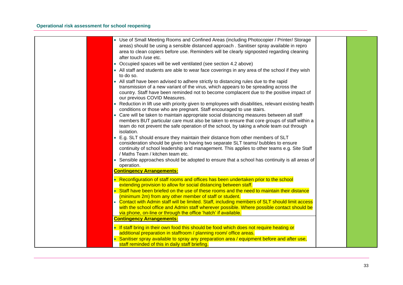| • Use of Small Meeting Rooms and Confined Areas (including Photocopier / Printer/ Storage                                                                    |  |
|--------------------------------------------------------------------------------------------------------------------------------------------------------------|--|
| areas) should be using a sensible distanced approach. Sanitiser spray available in repro                                                                     |  |
| area to clean copiers before use. Reminders will be clearly signposted regarding cleaning                                                                    |  |
| after touch /use etc.                                                                                                                                        |  |
| • Occupied spaces will be well ventilated (see section 4.2 above)                                                                                            |  |
| • All staff and students are able to wear face coverings in any area of the school if they wish                                                              |  |
| to do so.                                                                                                                                                    |  |
| • All staff have been advised to adhere strictly to distancing rules due to the rapid                                                                        |  |
| transmission of a new variant of the virus, which appears to be spreading across the                                                                         |  |
| country. Staff have been reminded not to become complacent due to the positive impact of                                                                     |  |
| our previous COVID Measures.                                                                                                                                 |  |
| • Reduction in lift use with priority given to employees with disabilities, relevant existing health                                                         |  |
| conditions or those who are pregnant. Staff encouraged to use stairs.                                                                                        |  |
| • Care will be taken to maintain appropriate social distancing measures between all staff                                                                    |  |
| members BUT particular care must also be taken to ensure that core groups of staff within a                                                                  |  |
| team do not prevent the safe operation of the school, by taking a whole team out through                                                                     |  |
| isolation.                                                                                                                                                   |  |
| • E.g. SLT should ensure they maintain their distance from other members of SLT                                                                              |  |
| consideration should be given to having two separate SLT teams/ bubbles to ensure                                                                            |  |
| continuity of school leadership and management. This applies to other teams e.g. Site Staff<br>/ Maths Team / kitchen team etc.                              |  |
| • Sensible approaches should be adopted to ensure that a school has continuity is all areas of                                                               |  |
| operation.                                                                                                                                                   |  |
| <b>Contingency Arrangements:</b>                                                                                                                             |  |
|                                                                                                                                                              |  |
| • Reconfiguration of staff rooms and offices has been undertaken prior to the school                                                                         |  |
| extending provision to allow for social distancing between staff.                                                                                            |  |
| • Staff have been briefed on the use of these rooms and the need to maintain their distance                                                                  |  |
| (minimum 2m) from any other member of staff or student.                                                                                                      |  |
| • Contact with Admin staff will be limited. Staff, including members of SLT should limit access                                                              |  |
| with the school office and Admin staff wherever possible. Where possible contact should be<br>via phone, on-line or through the office 'hatch' if available. |  |
| <b>Contingency Arrangements:</b>                                                                                                                             |  |
|                                                                                                                                                              |  |
| • If staff bring in their own food this should be food which does not require heating or                                                                     |  |
| additional preparation in staffroom / planning room/ office areas.                                                                                           |  |
| Sanitiser spray available to spray any preparation area / equipment before and after use,                                                                    |  |
| staff reminded of this in daily staff briefing.                                                                                                              |  |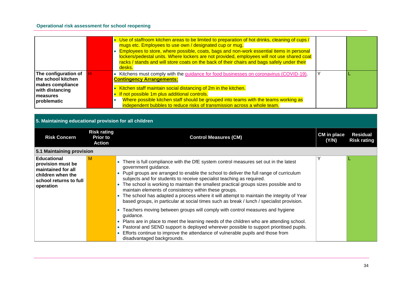|                                                                                                                      | Use of staffroom kitchen areas to be limited to preparation of hot drinks, cleaning of cups /<br>mugs etc. Employees to use own / designated cup or mug.<br>Employees to store, where possible, coats, bags and non-work essential items in personal<br>lockers/pedestal units. Where lockers are not provided, employees will not use shared coat<br>racks / stands and will store coats on the back of their chairs and bags safely under their<br>desks. |  |
|----------------------------------------------------------------------------------------------------------------------|-------------------------------------------------------------------------------------------------------------------------------------------------------------------------------------------------------------------------------------------------------------------------------------------------------------------------------------------------------------------------------------------------------------------------------------------------------------|--|
| The configuration of<br>the school kitchen<br>makes compliance<br>with distancing<br><b>Imeasures</b><br>problematic | Kitchens must comply with the guidance for food businesses on coronavirus (COVID-19).<br><b>Contingency Arrangements:</b><br>Kitchen staff maintain social distancing of 2m in the kitchen.<br>If not possible 1m plus additional controls.<br>Where possible kitchen staff should be grouped into teams with the teams working as<br>independent bubbles to reduce risks of transmission across a whole team.                                              |  |

| 5. Maintaining educational provision for all children                                                                     |                                                        |                                                                                                                                                                                                                                                                                                                                                                                                                                                                                                                                                                                                                                                       |                      |                                       |  |
|---------------------------------------------------------------------------------------------------------------------------|--------------------------------------------------------|-------------------------------------------------------------------------------------------------------------------------------------------------------------------------------------------------------------------------------------------------------------------------------------------------------------------------------------------------------------------------------------------------------------------------------------------------------------------------------------------------------------------------------------------------------------------------------------------------------------------------------------------------------|----------------------|---------------------------------------|--|
| <b>Risk Concern</b>                                                                                                       | <b>Risk rating</b><br><b>Prior to</b><br><b>Action</b> | <b>Control Measures (CM)</b>                                                                                                                                                                                                                                                                                                                                                                                                                                                                                                                                                                                                                          | CM in place<br>(N/N) | <b>Residual</b><br><b>Risk rating</b> |  |
| 5.1 Maintaining provision                                                                                                 |                                                        |                                                                                                                                                                                                                                                                                                                                                                                                                                                                                                                                                                                                                                                       |                      |                                       |  |
| <b>Educational</b><br>provision must be<br>maintained for all<br>children when the<br>school returns to full<br>operation | м                                                      | • There is full compliance with the DfE system control measures set out in the latest<br>government guidance.<br>Pupil groups are arranged to enable the school to deliver the full range of curriculum<br>$\bullet$<br>subjects and for students to receive specialist teaching as required.<br>The school is working to maintain the smallest practical groups sizes possible and to<br>maintain elements of consistency within these groups.<br>The school has adapted a process where it will attempt to maintain the integrity of Year<br>$\bullet$<br>based groups, in particular at social times such as break / lunch / specialist provision. |                      |                                       |  |
|                                                                                                                           |                                                        | Teachers moving between groups will comply with control measures and hygiene<br>$\bullet$<br>guidance.<br>Plans are in place to meet the learning needs of the children who are attending school.<br>Pastoral and SEND support is deployed wherever possible to support prioritised pupils.<br>$\bullet$<br>Efforts continue to improve the attendance of vulnerable pupils and those from<br>disadvantaged backgrounds.                                                                                                                                                                                                                              |                      |                                       |  |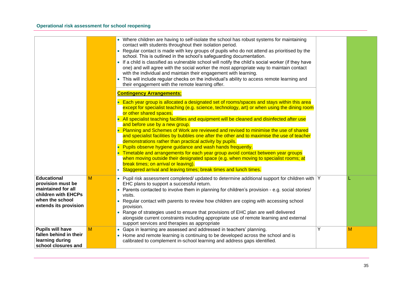|                                                                                                                                  |   | • Where children are having to self-isolate the school has robust systems for maintaining<br>contact with students throughout their isolation period.<br>• Regular contact is made with key groups of pupils who do not attend as prioritised by the<br>school. This is outlined in the school's safeguarding documentation.<br>• If a child is classified as vulnerable school will notify the child's social worker (if they have<br>one) and will agree with the social worker the most appropriate way to maintain contact<br>with the individual and maintain their engagement with learning.<br>• This will include regular checks on the individual's ability to access remote learning and<br>their engagement with the remote learning offer.<br><b>Contingency Arrangements:</b> |   |   |
|----------------------------------------------------------------------------------------------------------------------------------|---|--------------------------------------------------------------------------------------------------------------------------------------------------------------------------------------------------------------------------------------------------------------------------------------------------------------------------------------------------------------------------------------------------------------------------------------------------------------------------------------------------------------------------------------------------------------------------------------------------------------------------------------------------------------------------------------------------------------------------------------------------------------------------------------------|---|---|
|                                                                                                                                  |   | Each year group is allocated a designated set of rooms/spaces and stays within this area<br>except for specialist teaching (e.g. science, technology, art) or when using the dining room<br>or other shared spaces.                                                                                                                                                                                                                                                                                                                                                                                                                                                                                                                                                                        |   |   |
|                                                                                                                                  |   | • All specialist teaching facilities and equipment will be cleaned and disinfected after use<br>and before use by a new group.<br>• Planning and Schemes of Work are reviewed and revised to minimise the use of shared<br>and specialist facilities by bubbles one after the other and to maximise the use of teacher<br>demonstrations rather than practical activity by pupils.                                                                                                                                                                                                                                                                                                                                                                                                         |   |   |
|                                                                                                                                  |   | • Pupils observe hygiene guidance and wash hands frequently.<br>Timetable and arrangements for each year group avoid contact between year groups<br>when moving outside their designated space (e.g. when moving to specialist rooms; at<br>break times; on arrival or leaving).<br>Staggered arrival and leaving times; break times and lunch times.                                                                                                                                                                                                                                                                                                                                                                                                                                      |   |   |
| <b>Educational</b><br>provision must be<br>maintained for all<br>children with EHCPs<br>when the school<br>extends its provision | M | • Pupil risk assessment completed/ updated to determine additional support for children with Y<br>EHC plans to support a successful return.<br>• Parents contacted to involve them in planning for children's provision - e.g. social stories/<br>visits.<br>• Regular contact with parents to review how children are coping with accessing school<br>provision.<br>• Range of strategies used to ensure that provisions of EHC plan are well delivered<br>alongside current constraints including appropriate use of remote learning and external<br>support services and therapies as appropriate                                                                                                                                                                                       |   |   |
| <b>Pupils will have</b><br>fallen behind in their<br>learning during<br>school closures and                                      | M | • Gaps in learning are assessed and addressed in teachers' planning.<br>• Home and remote learning is continuing to be developed across the school and is<br>calibrated to complement in-school learning and address gaps identified.                                                                                                                                                                                                                                                                                                                                                                                                                                                                                                                                                      | Υ | M |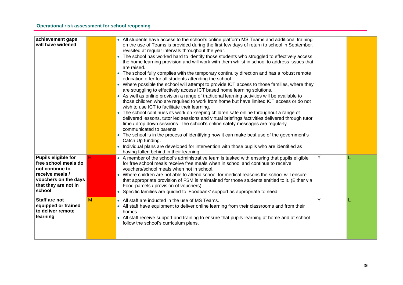| achievement gaps<br>will have widened                                                                                                            | • All students have access to the school's online platform MS Teams and additional training<br>on the use of Teams is provided during the first few days of return to school in September,<br>revisited at regular intervals throughout the year.<br>The school has worked hard to identify those students who struggled to effectively access<br>$\bullet$<br>the home learning provision and will work with them whilst in school to address issues that<br>are raised.<br>• The school fully complies with the temporary continuity direction and has a robust remote<br>education offer for all students attending the school.<br>• Where possible the school will attempt to provide ICT access to those families, where they<br>are struggling to effectively access ICT based home learning solutions.<br>• As well as online provision a range of traditional learning activities will be available to<br>those children who are required to work from home but have limited ICT access or do not<br>wish to use ICT to facilitate their learning.<br>• The school continues its work on keeping children safe online throughout a range of<br>delivered lessons, tutor led sessions and virtual briefings /activities delivered through tutor<br>time / drop down sessions. The school's online safety messages are regularly<br>communicated to parents.<br>• The school is in the process of identifying how it can make best use of the government's<br>Catch Up funding.<br>• Individual plans are developed for intervention with those pupils who are identified as<br>having fallen behind in their learning. |   |  |
|--------------------------------------------------------------------------------------------------------------------------------------------------|-------------------------------------------------------------------------------------------------------------------------------------------------------------------------------------------------------------------------------------------------------------------------------------------------------------------------------------------------------------------------------------------------------------------------------------------------------------------------------------------------------------------------------------------------------------------------------------------------------------------------------------------------------------------------------------------------------------------------------------------------------------------------------------------------------------------------------------------------------------------------------------------------------------------------------------------------------------------------------------------------------------------------------------------------------------------------------------------------------------------------------------------------------------------------------------------------------------------------------------------------------------------------------------------------------------------------------------------------------------------------------------------------------------------------------------------------------------------------------------------------------------------------------------------------------------------------------------------------------------------------------|---|--|
| Pupils eligible for<br>н<br>free school meals do<br>not continue to<br>receive meals /<br>vouchers on the days<br>that they are not in<br>school | • A member of the school's administrative team is tasked with ensuring that pupils eligible<br>for free school meals receive free meals when in school and continue to receive<br>vouchers/school meals when not in school.<br>• Where children are not able to attend school for medical reasons the school will ensure<br>that appropriate provision of FSM is maintained for those students entitled to it. (Either via<br>Food-parcels / provision of vouchers)<br>• Specific families are guided to 'Foodbank' support as appropriate to need.                                                                                                                                                                                                                                                                                                                                                                                                                                                                                                                                                                                                                                                                                                                                                                                                                                                                                                                                                                                                                                                                           | Y |  |
| Staff are not<br>M<br>equipped or trained<br>to deliver remote<br>learning                                                                       | • All staff are inducted in the use of MS Teams.<br>• All staff have equipment to deliver online learning from their classrooms and from their<br>homes.<br>All staff receive support and training to ensure that pupils learning at home and at school<br>$\bullet$<br>follow the school's curriculum plans.                                                                                                                                                                                                                                                                                                                                                                                                                                                                                                                                                                                                                                                                                                                                                                                                                                                                                                                                                                                                                                                                                                                                                                                                                                                                                                                 | Y |  |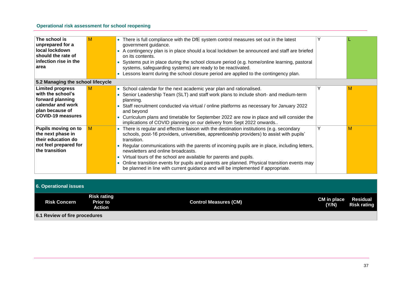| The school is<br>unprepared for a    | M | There is full compliance with the DfE system control measures set out in the latest<br>government guidance.                                                       |   |
|--------------------------------------|---|-------------------------------------------------------------------------------------------------------------------------------------------------------------------|---|
| local lockdown<br>should the rate of |   | • A contingency plan is in place should a local lockdown be announced and staff are briefed<br>on its contents.                                                   |   |
| infection rise in the                |   | Systems put in place during the school closure period (e.g. home/online learning, pastoral                                                                        |   |
| area                                 |   | systems, safeguarding systems) are ready to be reactivated.                                                                                                       |   |
|                                      |   | • Lessons learnt during the school closure period are applied to the contingency plan.                                                                            |   |
| 5.2 Managing the school lifecycle    |   |                                                                                                                                                                   |   |
| <b>Limited progress</b>              | M | • School calendar for the next academic year plan and rationalised.                                                                                               | М |
| with the school's                    |   | • Senior Leadership Team (SLT) and staff work plans to include short- and medium-term                                                                             |   |
| forward planning                     |   | planning.                                                                                                                                                         |   |
| calendar and work                    |   | • Staff recruitment conducted via virtual / online platforms as necessary for January 2022                                                                        |   |
| plan because of                      |   | and beyond                                                                                                                                                        |   |
| <b>COVID-19 measures</b>             |   | Curriculum plans and timetable for September 2022 are now in place and will consider the<br>implications of COVID planning on our delivery from Sept 2022 onwards |   |
| Pupils moving on to                  | M | • There is regular and effective liaison with the destination institutions (e.g. secondary                                                                        | М |
| the next phase in                    |   | schools, post-16 providers, universities, apprenticeship providers) to assist with pupils'                                                                        |   |
| their education do                   |   | transition.                                                                                                                                                       |   |
| not feel prepared for                |   | • Regular communications with the parents of incoming pupils are in place, including letters,                                                                     |   |
| the transition                       |   | newsletters and online broadcasts.                                                                                                                                |   |
|                                      |   | • Virtual tours of the school are available for parents and pupils.                                                                                               |   |
|                                      |   | Online transition events for pupils and parents are planned. Physical transition events may                                                                       |   |
|                                      |   | be planned in line with current guidance and will be implemented if appropriate.                                                                                  |   |

| 6. Operational issues         |                                                        |                              |                      |                                       |
|-------------------------------|--------------------------------------------------------|------------------------------|----------------------|---------------------------------------|
| <b>Risk Concern</b>           | <b>Risk rating</b><br><b>Prior to</b><br><b>Action</b> | <b>Control Measures (CM)</b> | CM in place<br>(Y/N) | <b>Residual</b><br><b>Risk rating</b> |
| 6.1 Review of fire procedures |                                                        |                              |                      |                                       |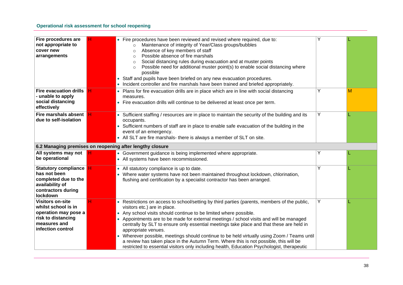| Fire procedures are<br>not appropriate to<br>cover new<br>arrangements                                                            |   | • Fire procedures have been reviewed and revised where required, due to:<br>Maintenance of integrity of Year/Class groups/bubbles<br>$\circ$<br>Absence of key members of staff<br>$\circ$<br>Possible absence of fire marshals<br>$\circ$<br>Social distancing rules during evacuation and at muster points<br>$\circ$<br>Possible need for additional muster point(s) to enable social distancing where<br>$\circ$<br>possible<br>Staff and pupils have been briefed on any new evacuation procedures.<br>• Incident controller and fire marshals have been trained and briefed appropriately.                                                                                                              | Υ |   |
|-----------------------------------------------------------------------------------------------------------------------------------|---|---------------------------------------------------------------------------------------------------------------------------------------------------------------------------------------------------------------------------------------------------------------------------------------------------------------------------------------------------------------------------------------------------------------------------------------------------------------------------------------------------------------------------------------------------------------------------------------------------------------------------------------------------------------------------------------------------------------|---|---|
| <b>Fire evacuation drills</b><br>- unable to apply<br>social distancing<br>effectively                                            | н | • Plans for fire evacuation drills are in place which are in line with social distancing<br>measures.<br>• Fire evacuation drills will continue to be delivered at least once per term.                                                                                                                                                                                                                                                                                                                                                                                                                                                                                                                       | Y | M |
| Fire marshals absent H<br>due to self-isolation                                                                                   |   | • Sufficient staffing / resources are in place to maintain the security of the building and its<br>occupants.<br>Sufficient numbers of staff are in place to enable safe evacuation of the building in the<br>event of an emergency.<br>• All SLT are fire marshals- there is always a member of SLT on site.                                                                                                                                                                                                                                                                                                                                                                                                 | Y |   |
|                                                                                                                                   |   | 6.2 Managing premises on reopening after lengthy closure                                                                                                                                                                                                                                                                                                                                                                                                                                                                                                                                                                                                                                                      |   |   |
| All systems may not<br>be operational                                                                                             |   | • Government guidance is being implemented where appropriate.<br>• All systems have been recommissioned.                                                                                                                                                                                                                                                                                                                                                                                                                                                                                                                                                                                                      | Y |   |
| Statutory compliance H<br>has not been<br>completed due to the<br>availability of<br>contractors during<br>lockdown               |   | • All statutory compliance is up to date.<br>• Where water systems have not been maintained throughout lockdown, chlorination,<br>flushing and certification by a specialist contractor has been arranged.                                                                                                                                                                                                                                                                                                                                                                                                                                                                                                    | Y |   |
| <b>Visitors on-site</b><br>whilst school is in<br>operation may pose a<br>risk to distancing<br>measures and<br>infection control | н | Restrictions on access to school/setting by third parties (parents, members of the public,<br>visitors etc.) are in place.<br>Any school visits should continue to be limited where possible.<br>$\bullet$<br>Appointments are to be made for external meetings / school visits and will be managed<br>centrally by SLT to ensure only essential meetings take place and that these are held in<br>appropriate venues.<br>• Wherever possible, meetings should continue to be held virtually using Zoom / Teams until<br>a review has taken place in the Autumn Term. Where this is not possible, this will be<br>restricted to essential visitors only including health, Education Psychologist, therapeutic | Y |   |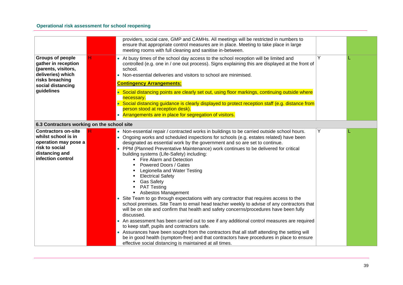|                                                                                                                                           |    | providers, social care, GMP and CAMHs. All meetings will be restricted in numbers to<br>ensure that appropriate control measures are in place. Meeting to take place in large<br>meeting rooms with full cleaning and sanitise in-between.                                                                                                                                                                                                                                                                                                                                                                                                                                                                                                                                                                                                                                                                                                                                                                                                                                                                                                                                                                                                                                                                |   |  |
|-------------------------------------------------------------------------------------------------------------------------------------------|----|-----------------------------------------------------------------------------------------------------------------------------------------------------------------------------------------------------------------------------------------------------------------------------------------------------------------------------------------------------------------------------------------------------------------------------------------------------------------------------------------------------------------------------------------------------------------------------------------------------------------------------------------------------------------------------------------------------------------------------------------------------------------------------------------------------------------------------------------------------------------------------------------------------------------------------------------------------------------------------------------------------------------------------------------------------------------------------------------------------------------------------------------------------------------------------------------------------------------------------------------------------------------------------------------------------------|---|--|
| Groups of people<br>gather in reception<br>(parents, visitors,<br>deliveries) which<br>risks breaching<br>social distancing<br>guidelines | н. | • At busy times of the school day access to the school reception will be limited and<br>controlled (e.g. one in / one out process). Signs explaining this are displayed at the front of<br>school.<br>• Non-essential deliveries and visitors to school are minimised.<br><b>Contingency Arrangements:</b><br>• Social distancing points are clearly set out, using floor markings, continuing outside where<br>necessary.<br>• Social distancing guidance is clearly displayed to protect reception staff (e.g. distance from<br>person stood at reception desk).<br>• Arrangements are in place for segregation of visitors.                                                                                                                                                                                                                                                                                                                                                                                                                                                                                                                                                                                                                                                                            | Y |  |
| 6.3 Contractors working on the school site                                                                                                |    |                                                                                                                                                                                                                                                                                                                                                                                                                                                                                                                                                                                                                                                                                                                                                                                                                                                                                                                                                                                                                                                                                                                                                                                                                                                                                                           |   |  |
| <b>Contractors on-site</b><br>whilst school is in<br>operation may pose a<br>risk to social<br>distancing and<br>infection control        | н. | • Non-essential repair / contracted works in buildings to be carried outside school hours.<br>• Ongoing works and scheduled inspections for schools (e.g. estates related) have been<br>designated as essential work by the government and so are set to continue.<br>• PPM (Planned Preventative Maintenance) work continues to be delivered for critical<br>building systems (Life-Safety) including:<br>• Fire Alarm and Detection<br><b>Powered Doors / Gates</b><br>Legionella and Water Testing<br><b>Electrical Safety</b><br><b>Gas Safety</b><br><b>PAT Testing</b><br>• Asbestos Management<br>• Site Team to go through expectations with any contractor that requires access to the<br>school premises. Site Team to email head teacher weekly to advise of any contractors that<br>will be on site and confirm that health and safety concerns/procedures have been fully<br>discussed.<br>• An assessment has been carried out to see if any additional control measures are required<br>to keep staff, pupils and contractors safe.<br>• Assurances have been sought from the contractors that all staff attending the setting will<br>be in good health (symptom-free) and that contractors have procedures in place to ensure<br>effective social distancing is maintained at all times. | Υ |  |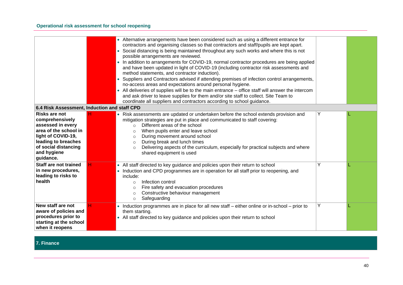|                                                                                                                                                                                 | • Alternative arrangements have been considered such as using a different entrance for<br>contractors and organising classes so that contractors and staff/pupils are kept apart.<br>Social distancing is being maintained throughout any such works and where this is not<br>possible arrangements are reviewed.<br>• In addition to arrangements for COVID-19, normal contractor procedures are being applied<br>and have been updated in light of COVID-19 (including contractor risk assessments and<br>method statements, and contractor induction).<br>• Suppliers and Contractors advised if attending premises of infection control arrangements,<br>no-access areas and expectations around personal hygiene.<br>• All deliveries of supplies will be to the main entrance – office staff will answer the intercom<br>and ask driver to leave supplies for them and/or site staff to collect. Site Team to<br>coordinate all suppliers and contractors according to school guidance. |   |  |
|---------------------------------------------------------------------------------------------------------------------------------------------------------------------------------|-----------------------------------------------------------------------------------------------------------------------------------------------------------------------------------------------------------------------------------------------------------------------------------------------------------------------------------------------------------------------------------------------------------------------------------------------------------------------------------------------------------------------------------------------------------------------------------------------------------------------------------------------------------------------------------------------------------------------------------------------------------------------------------------------------------------------------------------------------------------------------------------------------------------------------------------------------------------------------------------------|---|--|
|                                                                                                                                                                                 | 6.4 Risk Assessment, Induction and staff CPD                                                                                                                                                                                                                                                                                                                                                                                                                                                                                                                                                                                                                                                                                                                                                                                                                                                                                                                                                  |   |  |
| Risks are not<br>comprehensively<br>assessed in every<br>area of the school in<br>light of COVID-19,<br>leading to breaches<br>of social distancing<br>and hygiene<br>guidance. | • Risk assessments are updated or undertaken before the school extends provision and<br>mitigation strategies are put in place and communicated to staff covering:<br>Different areas of the school<br>$\circ$<br>When pupils enter and leave school<br>$\circ$<br>During movement around school<br>$\circ$<br>During break and lunch times<br>$\circ$<br>Delivering aspects of the curriculum, especially for practical subjects and where<br>$\circ$<br>shared equipment is used                                                                                                                                                                                                                                                                                                                                                                                                                                                                                                            | Υ |  |
| Staff are not trained<br>in new procedures,<br>leading to risks to<br>health                                                                                                    | • All staff directed to key guidance and policies upon their return to school<br>• Induction and CPD programmes are in operation for all staff prior to reopening, and<br>include:<br>Infection control<br>$\circ$<br>Fire safety and evacuation procedures<br>$\circ$<br>Constructive behaviour management<br>$\circ$<br>Safeguarding<br>$\circ$                                                                                                                                                                                                                                                                                                                                                                                                                                                                                                                                                                                                                                             | Y |  |
| New staff are not<br>aware of policies and<br>procedures prior to<br>starting at the school<br>when it reopens                                                                  | • Induction programmes are in place for all new staff – either online or in-school – prior to<br>them starting.<br>• All staff directed to key guidance and policies upon their return to school                                                                                                                                                                                                                                                                                                                                                                                                                                                                                                                                                                                                                                                                                                                                                                                              | Y |  |

#### **7. Finance**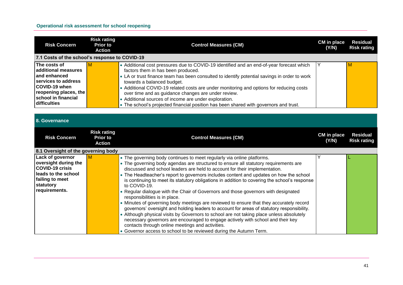| <b>Risk Concern</b>                                                                                                                                         | <b>Risk rating</b><br><b>Prior to</b><br><b>Action</b> | <b>Control Measures (CM)</b>                                                                                                                                                                                                                                                                                                                                                                                                                                                                                                                                                                                                                                                                                                                                                                                                                                                                                                                                                                                                                                                     | CM in place<br>(N/N) | <b>Residual</b><br><b>Risk rating</b> |  |  |
|-------------------------------------------------------------------------------------------------------------------------------------------------------------|--------------------------------------------------------|----------------------------------------------------------------------------------------------------------------------------------------------------------------------------------------------------------------------------------------------------------------------------------------------------------------------------------------------------------------------------------------------------------------------------------------------------------------------------------------------------------------------------------------------------------------------------------------------------------------------------------------------------------------------------------------------------------------------------------------------------------------------------------------------------------------------------------------------------------------------------------------------------------------------------------------------------------------------------------------------------------------------------------------------------------------------------------|----------------------|---------------------------------------|--|--|
|                                                                                                                                                             | 7.1 Costs of the school's response to COVID-19         |                                                                                                                                                                                                                                                                                                                                                                                                                                                                                                                                                                                                                                                                                                                                                                                                                                                                                                                                                                                                                                                                                  |                      |                                       |  |  |
| The costs of<br>additional measures<br>and enhanced<br>services to address<br>COVID-19 when<br>reopening places, the<br>school in financial<br>difficulties | M                                                      | • Additional cost pressures due to COVID-19 identified and an end-of-year forecast which<br>factors them in has been produced.<br>• LA or trust finance team has been consulted to identify potential savings in order to work<br>towards a balanced budget.<br>• Additional COVID-19 related costs are under monitoring and options for reducing costs<br>over time and as guidance changes are under review.<br>• Additional sources of income are under exploration.<br>• The school's projected financial position has been shared with governors and trust.                                                                                                                                                                                                                                                                                                                                                                                                                                                                                                                 | Y                    | М                                     |  |  |
| 8. Governance                                                                                                                                               |                                                        |                                                                                                                                                                                                                                                                                                                                                                                                                                                                                                                                                                                                                                                                                                                                                                                                                                                                                                                                                                                                                                                                                  |                      |                                       |  |  |
| <b>Risk Concern</b>                                                                                                                                         | <b>Risk rating</b><br><b>Prior to</b><br><b>Action</b> | <b>Control Measures (CM)</b>                                                                                                                                                                                                                                                                                                                                                                                                                                                                                                                                                                                                                                                                                                                                                                                                                                                                                                                                                                                                                                                     | CM in place<br>(Y/N) | <b>Residual</b><br><b>Risk rating</b> |  |  |
| 8.1 Oversight of the governing body                                                                                                                         |                                                        |                                                                                                                                                                                                                                                                                                                                                                                                                                                                                                                                                                                                                                                                                                                                                                                                                                                                                                                                                                                                                                                                                  |                      |                                       |  |  |
| Lack of governor<br>oversight during the<br><b>COVID-19 crisis</b><br>leads to the school<br>failing to meet<br>statutory<br>requirements.                  | M                                                      | • The governing body continues to meet regularly via online platforms.<br>• The governing body agendas are structured to ensure all statutory requirements are<br>discussed and school leaders are held to account for their implementation.<br>• The Headteacher's report to governors includes content and updates on how the school<br>is continuing to meet its statutory obligations in addition to covering the school's response<br>to COVID-19.<br>• Regular dialogue with the Chair of Governors and those governors with designated<br>responsibilities is in place.<br>• Minutes of governing body meetings are reviewed to ensure that they accurately record<br>governors' oversight and holding leaders to account for areas of statutory responsibility.<br>• Although physical visits by Governors to school are not taking place unless absolutely<br>necessary governors are encouraged to engage actively with school and their key<br>contacts through online meetings and activities.<br>• Governor access to school to be reviewed during the Autumn Term. | Y                    |                                       |  |  |